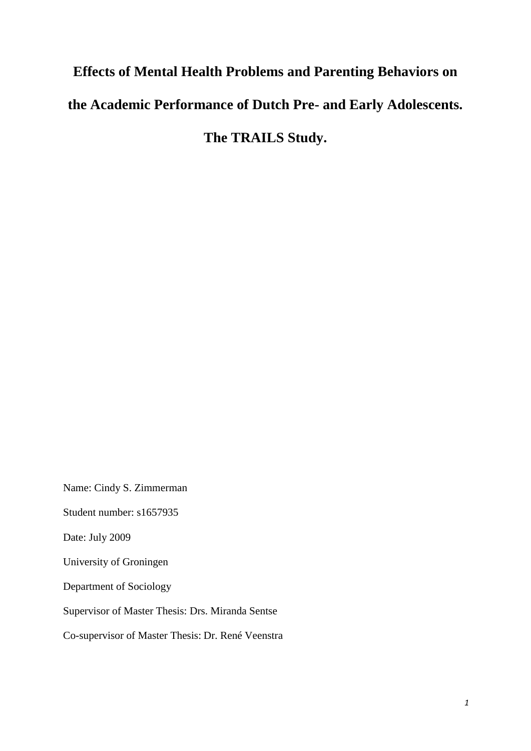# **Effects of Mental Health Problems and Parenting Behaviors on the Academic Performance of Dutch Pre- and Early Adolescents. The TRAILS Study.**

Name: Cindy S. Zimmerman

Student number: s1657935

Date: July 2009

University of Groningen

Department of Sociology

Supervisor of Master Thesis: Drs. Miranda Sentse

Co-supervisor of Master Thesis: Dr. René Veenstra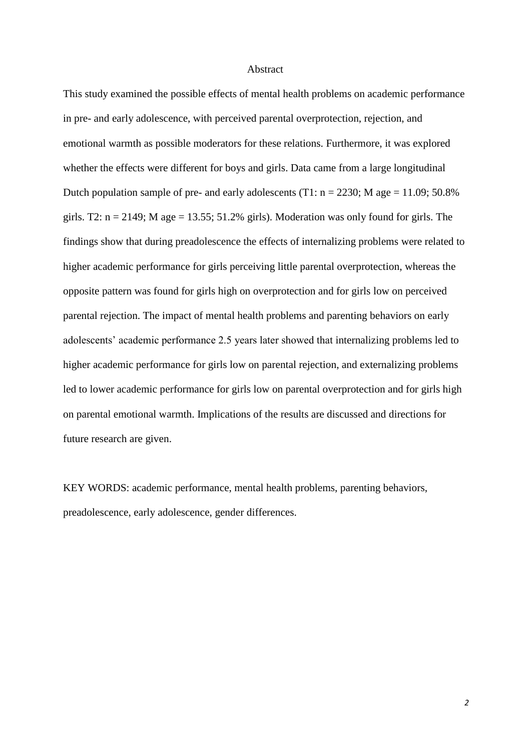#### Abstract

This study examined the possible effects of mental health problems on academic performance in pre- and early adolescence, with perceived parental overprotection, rejection, and emotional warmth as possible moderators for these relations. Furthermore, it was explored whether the effects were different for boys and girls. Data came from a large longitudinal Dutch population sample of pre- and early adolescents (T1:  $n = 2230$ ; M age = 11.09; 50.8% girls. T2:  $n = 2149$ ; M age = 13.55; 51.2% girls). Moderation was only found for girls. The findings show that during preadolescence the effects of internalizing problems were related to higher academic performance for girls perceiving little parental overprotection, whereas the opposite pattern was found for girls high on overprotection and for girls low on perceived parental rejection. The impact of mental health problems and parenting behaviors on early adolescents' academic performance 2.5 years later showed that internalizing problems led to higher academic performance for girls low on parental rejection, and externalizing problems led to lower academic performance for girls low on parental overprotection and for girls high on parental emotional warmth. Implications of the results are discussed and directions for future research are given.

KEY WORDS: academic performance, mental health problems, parenting behaviors, preadolescence, early adolescence, gender differences.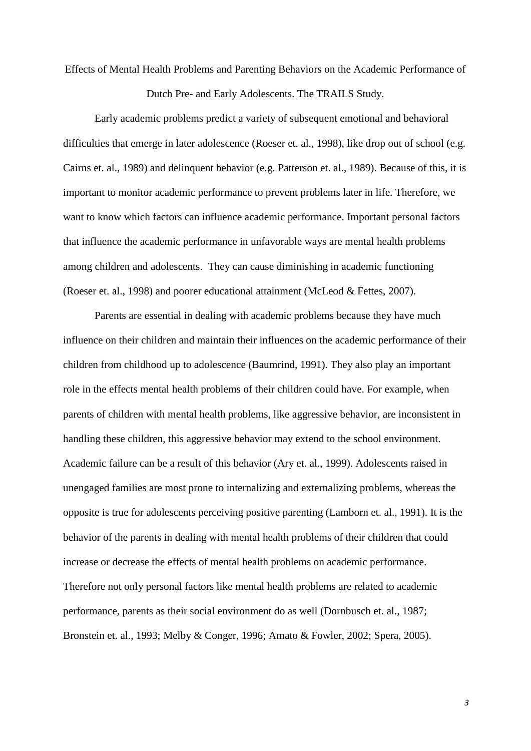Effects of Mental Health Problems and Parenting Behaviors on the Academic Performance of Dutch Pre- and Early Adolescents. The TRAILS Study.

Early academic problems predict a variety of subsequent emotional and behavioral difficulties that emerge in later adolescence (Roeser et. al., 1998), like drop out of school (e.g. Cairns et. al., 1989) and delinquent behavior (e.g. Patterson et. al., 1989). Because of this, it is important to monitor academic performance to prevent problems later in life. Therefore, we want to know which factors can influence academic performance. Important personal factors that influence the academic performance in unfavorable ways are mental health problems among children and adolescents. They can cause diminishing in academic functioning (Roeser et. al., 1998) and poorer educational attainment (McLeod & Fettes, 2007).

Parents are essential in dealing with academic problems because they have much influence on their children and maintain their influences on the academic performance of their children from childhood up to adolescence (Baumrind, 1991). They also play an important role in the effects mental health problems of their children could have. For example, when parents of children with mental health problems, like aggressive behavior, are inconsistent in handling these children, this aggressive behavior may extend to the school environment. Academic failure can be a result of this behavior (Ary et. al., 1999). Adolescents raised in unengaged families are most prone to internalizing and externalizing problems, whereas the opposite is true for adolescents perceiving positive parenting (Lamborn et. al., 1991). It is the behavior of the parents in dealing with mental health problems of their children that could increase or decrease the effects of mental health problems on academic performance. Therefore not only personal factors like mental health problems are related to academic performance, parents as their social environment do as well (Dornbusch et. al., 1987; Bronstein et. al., 1993; Melby & Conger, 1996; Amato & Fowler, 2002; Spera, 2005).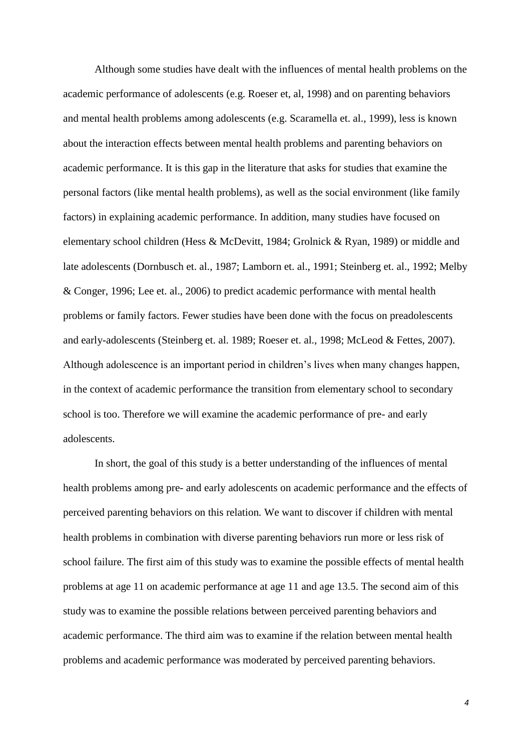Although some studies have dealt with the influences of mental health problems on the academic performance of adolescents (e.g. Roeser et, al, 1998) and on parenting behaviors and mental health problems among adolescents (e.g. Scaramella et. al., 1999), less is known about the interaction effects between mental health problems and parenting behaviors on academic performance. It is this gap in the literature that asks for studies that examine the personal factors (like mental health problems), as well as the social environment (like family factors) in explaining academic performance. In addition, many studies have focused on elementary school children (Hess & McDevitt, 1984; Grolnick & Ryan, 1989) or middle and late adolescents (Dornbusch et. al., 1987; Lamborn et. al., 1991; Steinberg et. al., 1992; Melby & Conger, 1996; Lee et. al., 2006) to predict academic performance with mental health problems or family factors. Fewer studies have been done with the focus on preadolescents and early-adolescents (Steinberg et. al. 1989; Roeser et. al., 1998; McLeod & Fettes, 2007). Although adolescence is an important period in children's lives when many changes happen, in the context of academic performance the transition from elementary school to secondary school is too. Therefore we will examine the academic performance of pre- and early adolescents.

In short, the goal of this study is a better understanding of the influences of mental health problems among pre- and early adolescents on academic performance and the effects of perceived parenting behaviors on this relation*.* We want to discover if children with mental health problems in combination with diverse parenting behaviors run more or less risk of school failure. The first aim of this study was to examine the possible effects of mental health problems at age 11 on academic performance at age 11 and age 13.5. The second aim of this study was to examine the possible relations between perceived parenting behaviors and academic performance. The third aim was to examine if the relation between mental health problems and academic performance was moderated by perceived parenting behaviors.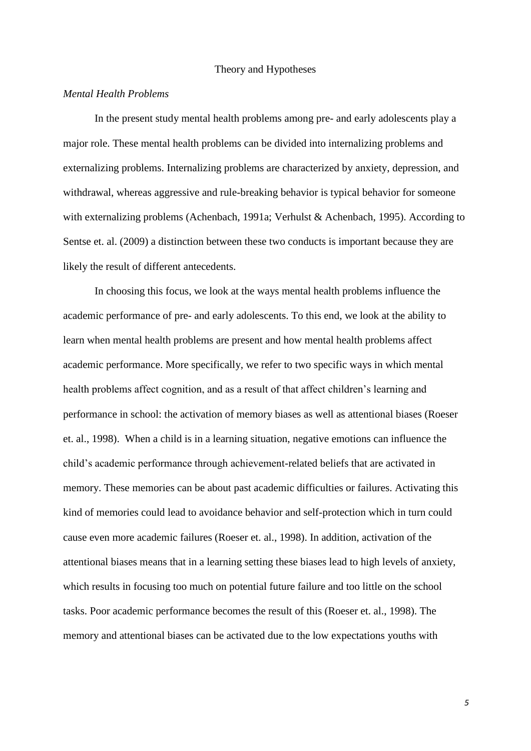#### Theory and Hypotheses

#### *Mental Health Problems*

In the present study mental health problems among pre- and early adolescents play a major role. These mental health problems can be divided into internalizing problems and externalizing problems. Internalizing problems are characterized by anxiety, depression, and withdrawal, whereas aggressive and rule-breaking behavior is typical behavior for someone with externalizing problems (Achenbach, 1991a; Verhulst & Achenbach, 1995). According to Sentse et. al. (2009) a distinction between these two conducts is important because they are likely the result of different antecedents.

In choosing this focus, we look at the ways mental health problems influence the academic performance of pre- and early adolescents. To this end, we look at the ability to learn when mental health problems are present and how mental health problems affect academic performance. More specifically, we refer to two specific ways in which mental health problems affect cognition, and as a result of that affect children's learning and performance in school: the activation of memory biases as well as attentional biases (Roeser et. al., 1998). When a child is in a learning situation, negative emotions can influence the child's academic performance through achievement-related beliefs that are activated in memory. These memories can be about past academic difficulties or failures. Activating this kind of memories could lead to avoidance behavior and self-protection which in turn could cause even more academic failures (Roeser et. al., 1998). In addition, activation of the attentional biases means that in a learning setting these biases lead to high levels of anxiety, which results in focusing too much on potential future failure and too little on the school tasks. Poor academic performance becomes the result of this (Roeser et. al., 1998). The memory and attentional biases can be activated due to the low expectations youths with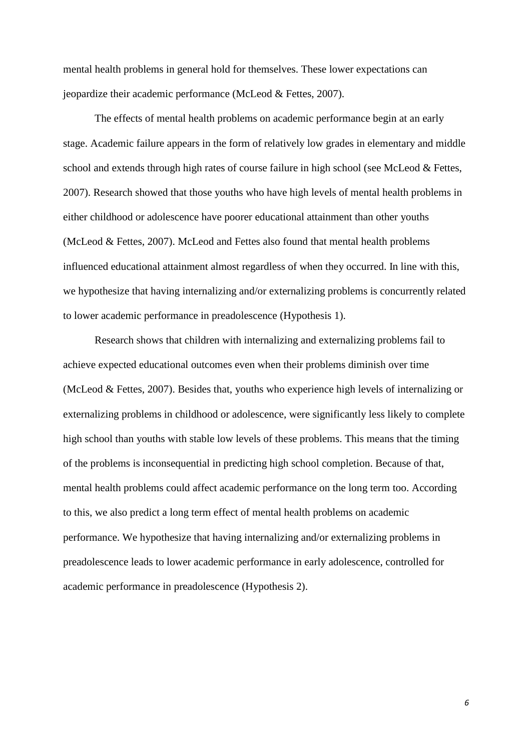mental health problems in general hold for themselves. These lower expectations can jeopardize their academic performance (McLeod & Fettes, 2007).

The effects of mental health problems on academic performance begin at an early stage. Academic failure appears in the form of relatively low grades in elementary and middle school and extends through high rates of course failure in high school (see McLeod & Fettes, 2007). Research showed that those youths who have high levels of mental health problems in either childhood or adolescence have poorer educational attainment than other youths (McLeod & Fettes, 2007). McLeod and Fettes also found that mental health problems influenced educational attainment almost regardless of when they occurred. In line with this, we hypothesize that having internalizing and/or externalizing problems is concurrently related to lower academic performance in preadolescence (Hypothesis 1).

Research shows that children with internalizing and externalizing problems fail to achieve expected educational outcomes even when their problems diminish over time (McLeod & Fettes, 2007). Besides that, youths who experience high levels of internalizing or externalizing problems in childhood or adolescence, were significantly less likely to complete high school than youths with stable low levels of these problems. This means that the timing of the problems is inconsequential in predicting high school completion. Because of that, mental health problems could affect academic performance on the long term too. According to this, we also predict a long term effect of mental health problems on academic performance. We hypothesize that having internalizing and/or externalizing problems in preadolescence leads to lower academic performance in early adolescence, controlled for academic performance in preadolescence (Hypothesis 2).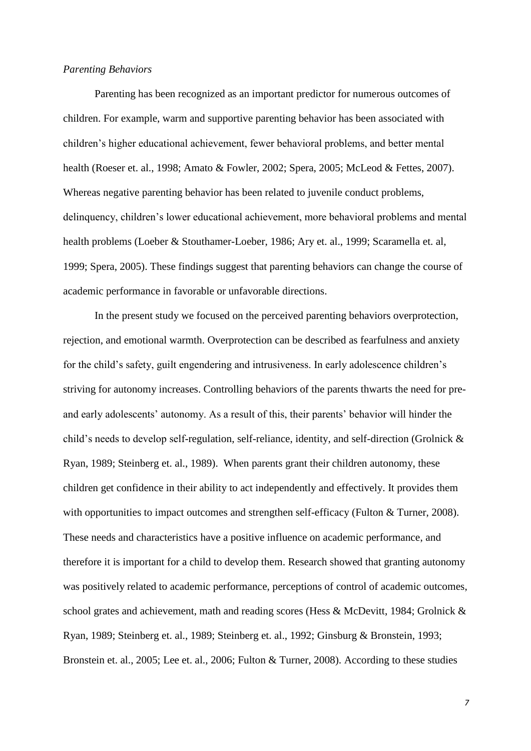#### *Parenting Behaviors*

Parenting has been recognized as an important predictor for numerous outcomes of children. For example, warm and supportive parenting behavior has been associated with children's higher educational achievement, fewer behavioral problems, and better mental health (Roeser et. al., 1998; Amato & Fowler, 2002; Spera, 2005; McLeod & Fettes, 2007). Whereas negative parenting behavior has been related to juvenile conduct problems, delinquency, children's lower educational achievement, more behavioral problems and mental health problems (Loeber & Stouthamer-Loeber, 1986; Ary et. al., 1999; Scaramella et. al, 1999; Spera, 2005). These findings suggest that parenting behaviors can change the course of academic performance in favorable or unfavorable directions.

In the present study we focused on the perceived parenting behaviors overprotection, rejection, and emotional warmth. Overprotection can be described as fearfulness and anxiety for the child's safety, guilt engendering and intrusiveness. In early adolescence children's striving for autonomy increases. Controlling behaviors of the parents thwarts the need for preand early adolescents' autonomy. As a result of this, their parents' behavior will hinder the child's needs to develop self-regulation, self-reliance, identity, and self-direction (Grolnick & Ryan, 1989; Steinberg et. al., 1989). When parents grant their children autonomy, these children get confidence in their ability to act independently and effectively. It provides them with opportunities to impact outcomes and strengthen self-efficacy (Fulton & Turner, 2008). These needs and characteristics have a positive influence on academic performance, and therefore it is important for a child to develop them. Research showed that granting autonomy was positively related to academic performance, perceptions of control of academic outcomes, school grates and achievement, math and reading scores (Hess & McDevitt, 1984; Grolnick & Ryan, 1989; Steinberg et. al., 1989; Steinberg et. al., 1992; Ginsburg & Bronstein, 1993; Bronstein et. al., 2005; Lee et. al., 2006; Fulton & Turner, 2008). According to these studies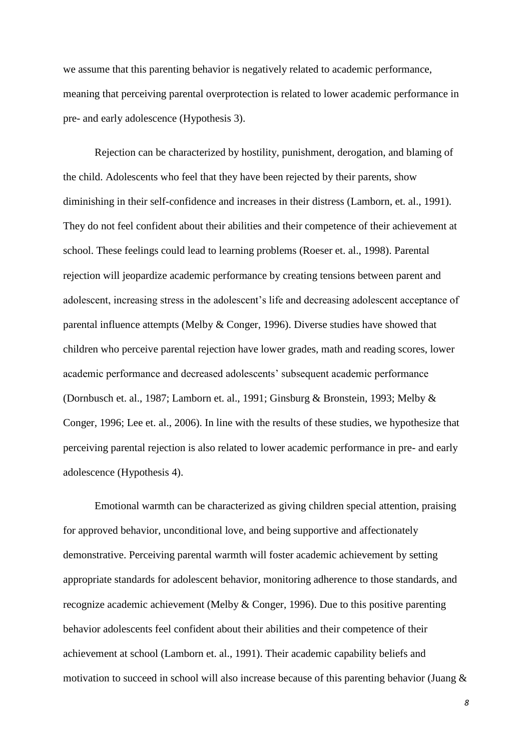we assume that this parenting behavior is negatively related to academic performance, meaning that perceiving parental overprotection is related to lower academic performance in pre- and early adolescence (Hypothesis 3).

Rejection can be characterized by hostility, punishment, derogation, and blaming of the child. Adolescents who feel that they have been rejected by their parents, show diminishing in their self-confidence and increases in their distress (Lamborn, et. al., 1991). They do not feel confident about their abilities and their competence of their achievement at school. These feelings could lead to learning problems (Roeser et. al., 1998). Parental rejection will jeopardize academic performance by creating tensions between parent and adolescent, increasing stress in the adolescent's life and decreasing adolescent acceptance of parental influence attempts (Melby & Conger, 1996). Diverse studies have showed that children who perceive parental rejection have lower grades, math and reading scores, lower academic performance and decreased adolescents' subsequent academic performance (Dornbusch et. al., 1987; Lamborn et. al., 1991; Ginsburg & Bronstein, 1993; Melby & Conger, 1996; Lee et. al., 2006). In line with the results of these studies, we hypothesize that perceiving parental rejection is also related to lower academic performance in pre- and early adolescence (Hypothesis 4).

Emotional warmth can be characterized as giving children special attention, praising for approved behavior, unconditional love, and being supportive and affectionately demonstrative. Perceiving parental warmth will foster academic achievement by setting appropriate standards for adolescent behavior, monitoring adherence to those standards, and recognize academic achievement (Melby & Conger, 1996). Due to this positive parenting behavior adolescents feel confident about their abilities and their competence of their achievement at school (Lamborn et. al., 1991). Their academic capability beliefs and motivation to succeed in school will also increase because of this parenting behavior (Juang &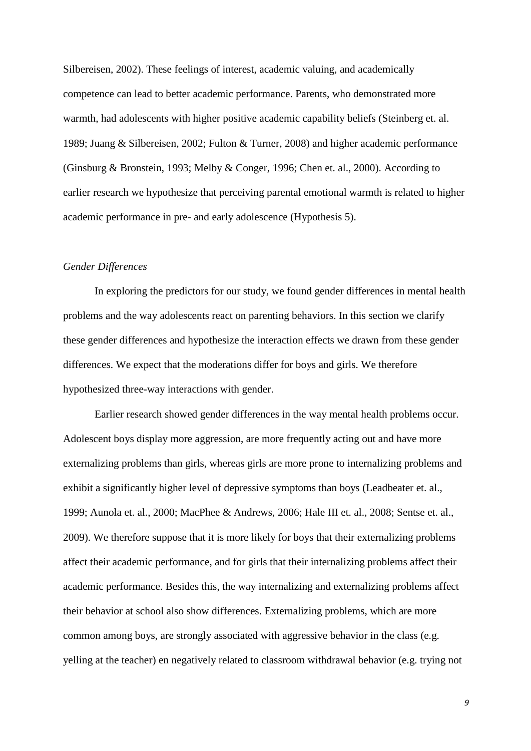Silbereisen, 2002). These feelings of interest, academic valuing, and academically competence can lead to better academic performance. Parents, who demonstrated more warmth, had adolescents with higher positive academic capability beliefs (Steinberg et. al. 1989; Juang & Silbereisen, 2002; Fulton & Turner, 2008) and higher academic performance (Ginsburg & Bronstein, 1993; Melby & Conger, 1996; Chen et. al., 2000). According to earlier research we hypothesize that perceiving parental emotional warmth is related to higher academic performance in pre- and early adolescence (Hypothesis 5).

#### *Gender Differences*

In exploring the predictors for our study, we found gender differences in mental health problems and the way adolescents react on parenting behaviors. In this section we clarify these gender differences and hypothesize the interaction effects we drawn from these gender differences. We expect that the moderations differ for boys and girls. We therefore hypothesized three-way interactions with gender.

Earlier research showed gender differences in the way mental health problems occur. Adolescent boys display more aggression, are more frequently acting out and have more externalizing problems than girls, whereas girls are more prone to internalizing problems and exhibit a significantly higher level of depressive symptoms than boys (Leadbeater et. al., 1999; Aunola et. al., 2000; MacPhee & Andrews, 2006; Hale III et. al., 2008; Sentse et. al., 2009). We therefore suppose that it is more likely for boys that their externalizing problems affect their academic performance, and for girls that their internalizing problems affect their academic performance. Besides this, the way internalizing and externalizing problems affect their behavior at school also show differences. Externalizing problems, which are more common among boys, are strongly associated with aggressive behavior in the class (e.g. yelling at the teacher) en negatively related to classroom withdrawal behavior (e.g. trying not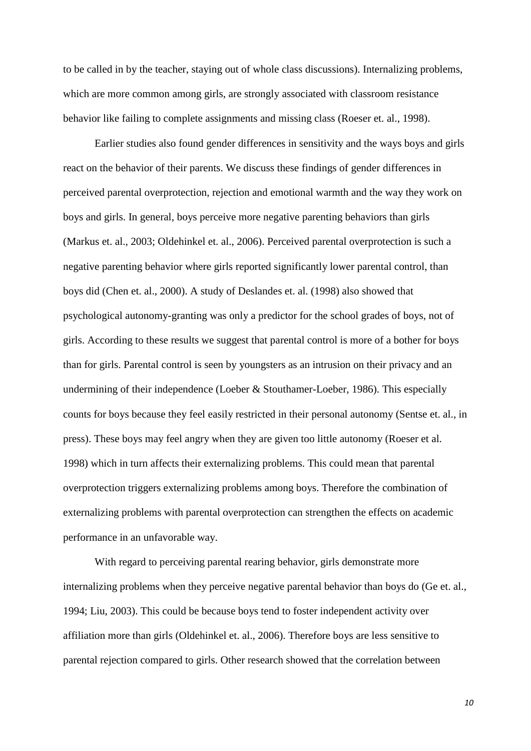to be called in by the teacher, staying out of whole class discussions). Internalizing problems, which are more common among girls, are strongly associated with classroom resistance behavior like failing to complete assignments and missing class (Roeser et. al., 1998).

Earlier studies also found gender differences in sensitivity and the ways boys and girls react on the behavior of their parents. We discuss these findings of gender differences in perceived parental overprotection, rejection and emotional warmth and the way they work on boys and girls. In general, boys perceive more negative parenting behaviors than girls (Markus et. al., 2003; Oldehinkel et. al., 2006). Perceived parental overprotection is such a negative parenting behavior where girls reported significantly lower parental control, than boys did (Chen et. al., 2000). A study of Deslandes et. al. (1998) also showed that psychological autonomy-granting was only a predictor for the school grades of boys, not of girls. According to these results we suggest that parental control is more of a bother for boys than for girls. Parental control is seen by youngsters as an intrusion on their privacy and an undermining of their independence (Loeber & Stouthamer-Loeber, 1986). This especially counts for boys because they feel easily restricted in their personal autonomy (Sentse et. al., in press). These boys may feel angry when they are given too little autonomy (Roeser et al. 1998) which in turn affects their externalizing problems. This could mean that parental overprotection triggers externalizing problems among boys. Therefore the combination of externalizing problems with parental overprotection can strengthen the effects on academic performance in an unfavorable way.

With regard to perceiving parental rearing behavior, girls demonstrate more internalizing problems when they perceive negative parental behavior than boys do (Ge et. al., 1994; Liu, 2003). This could be because boys tend to foster independent activity over affiliation more than girls (Oldehinkel et. al., 2006). Therefore boys are less sensitive to parental rejection compared to girls. Other research showed that the correlation between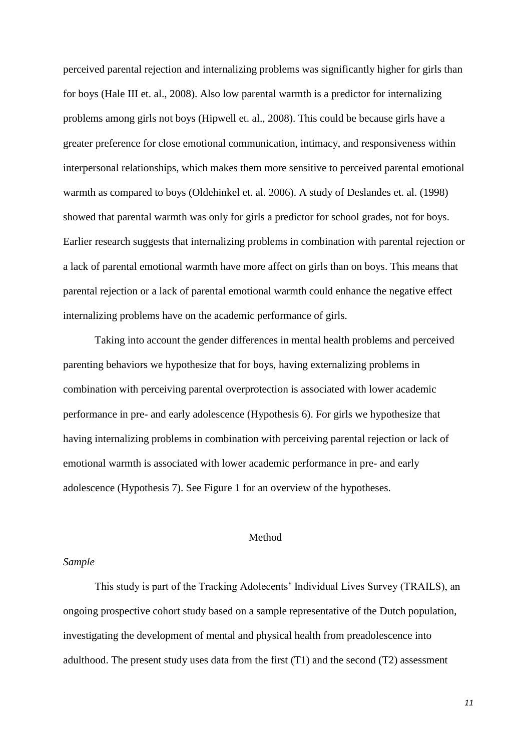perceived parental rejection and internalizing problems was significantly higher for girls than for boys (Hale III et. al., 2008). Also low parental warmth is a predictor for internalizing problems among girls not boys (Hipwell et. al., 2008). This could be because girls have a greater preference for close emotional communication, intimacy, and responsiveness within interpersonal relationships, which makes them more sensitive to perceived parental emotional warmth as compared to boys (Oldehinkel et. al. 2006). A study of Deslandes et. al. (1998) showed that parental warmth was only for girls a predictor for school grades, not for boys. Earlier research suggests that internalizing problems in combination with parental rejection or a lack of parental emotional warmth have more affect on girls than on boys. This means that parental rejection or a lack of parental emotional warmth could enhance the negative effect internalizing problems have on the academic performance of girls.

Taking into account the gender differences in mental health problems and perceived parenting behaviors we hypothesize that for boys, having externalizing problems in combination with perceiving parental overprotection is associated with lower academic performance in pre- and early adolescence (Hypothesis 6). For girls we hypothesize that having internalizing problems in combination with perceiving parental rejection or lack of emotional warmth is associated with lower academic performance in pre- and early adolescence (Hypothesis 7). See Figure 1 for an overview of the hypotheses.

#### Method

#### *Sample*

This study is part of the Tracking Adolecents' Individual Lives Survey (TRAILS), an ongoing prospective cohort study based on a sample representative of the Dutch population, investigating the development of mental and physical health from preadolescence into adulthood. The present study uses data from the first  $(T1)$  and the second  $(T2)$  assessment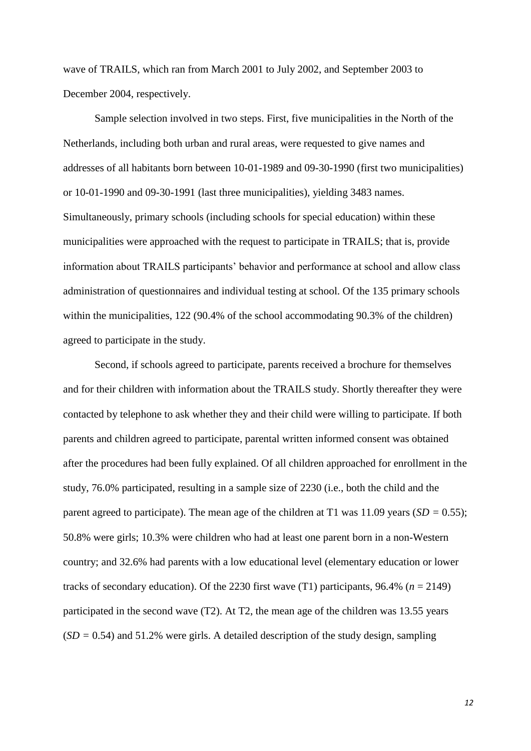wave of TRAILS, which ran from March 2001 to July 2002, and September 2003 to December 2004, respectively.

Sample selection involved in two steps. First, five municipalities in the North of the Netherlands, including both urban and rural areas, were requested to give names and addresses of all habitants born between 10-01-1989 and 09-30-1990 (first two municipalities) or 10-01-1990 and 09-30-1991 (last three municipalities), yielding 3483 names. Simultaneously, primary schools (including schools for special education) within these municipalities were approached with the request to participate in TRAILS; that is, provide information about TRAILS participants' behavior and performance at school and allow class administration of questionnaires and individual testing at school. Of the 135 primary schools within the municipalities, 122 (90.4% of the school accommodating 90.3% of the children) agreed to participate in the study.

Second, if schools agreed to participate, parents received a brochure for themselves and for their children with information about the TRAILS study. Shortly thereafter they were contacted by telephone to ask whether they and their child were willing to participate. If both parents and children agreed to participate, parental written informed consent was obtained after the procedures had been fully explained. Of all children approached for enrollment in the study, 76.0% participated, resulting in a sample size of 2230 (i.e., both the child and the parent agreed to participate). The mean age of the children at T1 was 11.09 years (*SD =* 0.55); 50.8% were girls; 10.3% were children who had at least one parent born in a non-Western country; and 32.6% had parents with a low educational level (elementary education or lower tracks of secondary education). Of the 2230 first wave  $(T1)$  participants, 96.4%  $(n = 2149)$ participated in the second wave (T2). At T2, the mean age of the children was 13.55 years  $(SD = 0.54)$  and 51.2% were girls. A detailed description of the study design, sampling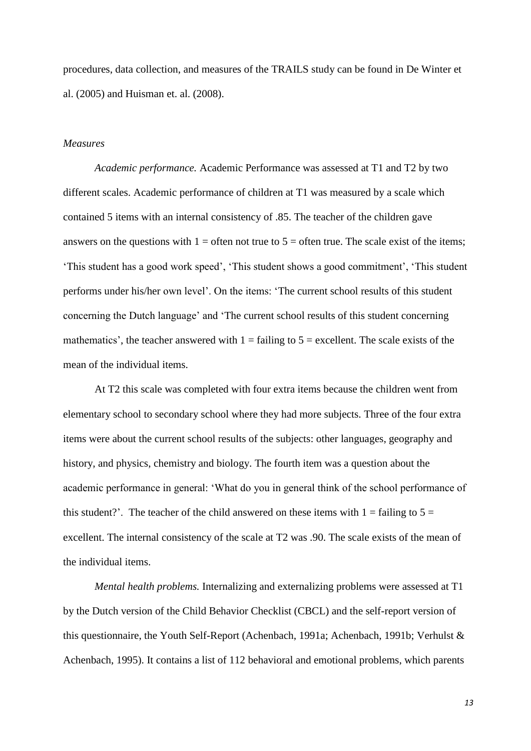procedures, data collection, and measures of the TRAILS study can be found in De Winter et al. (2005) and Huisman et. al. (2008).

#### *Measures*

*Academic performance.* Academic Performance was assessed at T1 and T2 by two different scales. Academic performance of children at T1 was measured by a scale which contained 5 items with an internal consistency of .85. The teacher of the children gave answers on the questions with  $1 =$  often not true to  $5 =$  often true. The scale exist of the items; 'This student has a good work speed', 'This student shows a good commitment', 'This student performs under his/her own level'. On the items: 'The current school results of this student concerning the Dutch language' and 'The current school results of this student concerning mathematics', the teacher answered with  $1 = \text{failure to } 5 = \text{excellent}$ . The scale exists of the mean of the individual items.

At T2 this scale was completed with four extra items because the children went from elementary school to secondary school where they had more subjects. Three of the four extra items were about the current school results of the subjects: other languages, geography and history, and physics, chemistry and biology. The fourth item was a question about the academic performance in general: 'What do you in general think of the school performance of this student?'. The teacher of the child answered on these items with  $1 = \text{failing to } 5 =$ excellent. The internal consistency of the scale at T2 was .90. The scale exists of the mean of the individual items.

*Mental health problems.* Internalizing and externalizing problems were assessed at T1 by the Dutch version of the Child Behavior Checklist (CBCL) and the self-report version of this questionnaire, the Youth Self-Report (Achenbach, 1991a; Achenbach, 1991b; Verhulst & Achenbach, 1995). It contains a list of 112 behavioral and emotional problems, which parents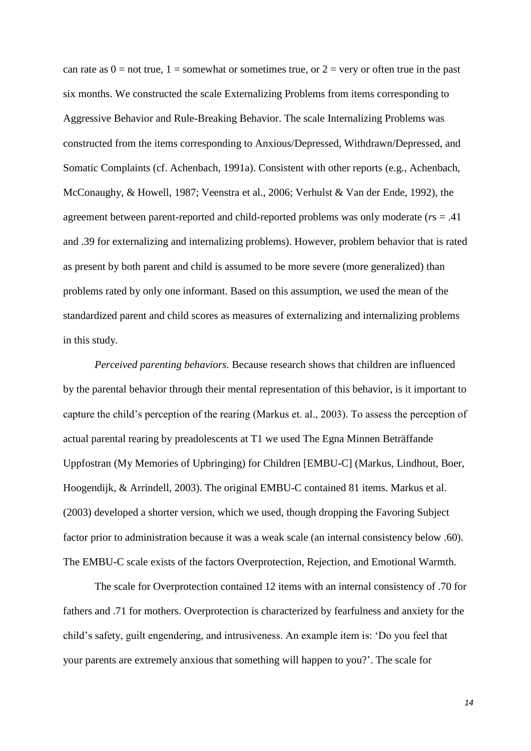can rate as  $0 =$  not true,  $1 =$  somewhat or sometimes true, or  $2 =$  very or often true in the past six months. We constructed the scale Externalizing Problems from items corresponding to Aggressive Behavior and Rule-Breaking Behavior. The scale Internalizing Problems was constructed from the items corresponding to Anxious/Depressed, Withdrawn/Depressed, and Somatic Complaints (cf. Achenbach, 1991a). Consistent with other reports (e.g., Achenbach, McConaughy, & Howell, 1987; Veenstra et al., 2006; Verhulst & Van der Ende, 1992), the agreement between parent-reported and child-reported problems was only moderate (*r*s = .41 and .39 for externalizing and internalizing problems). However, problem behavior that is rated as present by both parent and child is assumed to be more severe (more generalized) than problems rated by only one informant. Based on this assumption, we used the mean of the standardized parent and child scores as measures of externalizing and internalizing problems in this study.

*Perceived parenting behaviors.* Because research shows that children are influenced by the parental behavior through their mental representation of this behavior, is it important to capture the child's perception of the rearing (Markus et. al., 2003). To assess the perception of actual parental rearing by preadolescents at T1 we used The Egna Minnen Beträffande Uppfostran (My Memories of Upbringing) for Children [EMBU-C] (Markus, Lindhout, Boer, Hoogendijk, & Arrindell, 2003). The original EMBU-C contained 81 items. Markus et al. (2003) developed a shorter version, which we used, though dropping the Favoring Subject factor prior to administration because it was a weak scale (an internal consistency below .60). The EMBU-C scale exists of the factors Overprotection, Rejection, and Emotional Warmth.

The scale for Overprotection contained 12 items with an internal consistency of .70 for fathers and .71 for mothers. Overprotection is characterized by fearfulness and anxiety for the child's safety, guilt engendering, and intrusiveness. An example item is: 'Do you feel that your parents are extremely anxious that something will happen to you?'. The scale for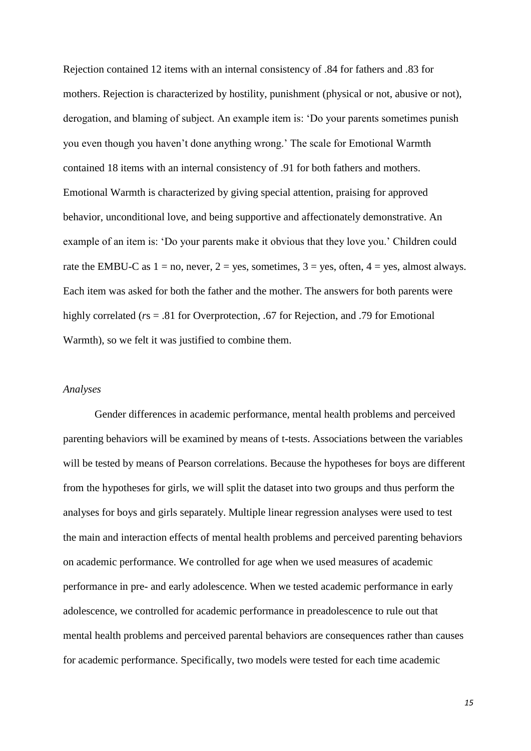Rejection contained 12 items with an internal consistency of .84 for fathers and .83 for mothers. Rejection is characterized by hostility, punishment (physical or not, abusive or not), derogation, and blaming of subject. An example item is: 'Do your parents sometimes punish you even though you haven't done anything wrong.' The scale for Emotional Warmth contained 18 items with an internal consistency of .91 for both fathers and mothers. Emotional Warmth is characterized by giving special attention, praising for approved behavior, unconditional love, and being supportive and affectionately demonstrative. An example of an item is: 'Do your parents make it obvious that they love you.' Children could rate the EMBU-C as  $1 = no$ , never,  $2 = yes$ , sometimes,  $3 = yes$ , often,  $4 = yes$ , almost always. Each item was asked for both the father and the mother. The answers for both parents were highly correlated (*r*s = .81 for Overprotection, *.*67 for Rejection, and .79 for Emotional Warmth), so we felt it was justified to combine them.

#### *Analyses*

Gender differences in academic performance, mental health problems and perceived parenting behaviors will be examined by means of t-tests. Associations between the variables will be tested by means of Pearson correlations. Because the hypotheses for boys are different from the hypotheses for girls, we will split the dataset into two groups and thus perform the analyses for boys and girls separately. Multiple linear regression analyses were used to test the main and interaction effects of mental health problems and perceived parenting behaviors on academic performance. We controlled for age when we used measures of academic performance in pre- and early adolescence. When we tested academic performance in early adolescence, we controlled for academic performance in preadolescence to rule out that mental health problems and perceived parental behaviors are consequences rather than causes for academic performance. Specifically, two models were tested for each time academic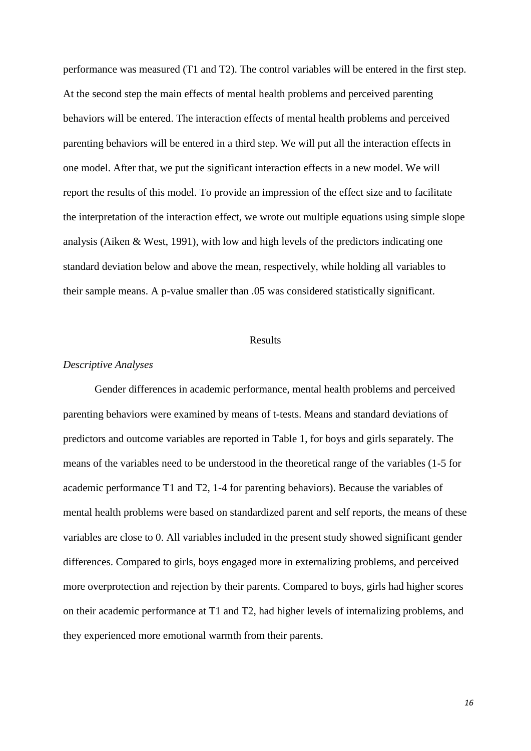performance was measured (T1 and T2). The control variables will be entered in the first step. At the second step the main effects of mental health problems and perceived parenting behaviors will be entered. The interaction effects of mental health problems and perceived parenting behaviors will be entered in a third step. We will put all the interaction effects in one model. After that, we put the significant interaction effects in a new model. We will report the results of this model. To provide an impression of the effect size and to facilitate the interpretation of the interaction effect, we wrote out multiple equations using simple slope analysis (Aiken & West, 1991), with low and high levels of the predictors indicating one standard deviation below and above the mean, respectively, while holding all variables to their sample means. A p-value smaller than .05 was considered statistically significant.

#### Results

#### *Descriptive Analyses*

Gender differences in academic performance, mental health problems and perceived parenting behaviors were examined by means of t-tests. Means and standard deviations of predictors and outcome variables are reported in Table 1, for boys and girls separately. The means of the variables need to be understood in the theoretical range of the variables (1-5 for academic performance T1 and T2, 1-4 for parenting behaviors). Because the variables of mental health problems were based on standardized parent and self reports, the means of these variables are close to 0. All variables included in the present study showed significant gender differences. Compared to girls, boys engaged more in externalizing problems, and perceived more overprotection and rejection by their parents. Compared to boys, girls had higher scores on their academic performance at T1 and T2, had higher levels of internalizing problems, and they experienced more emotional warmth from their parents.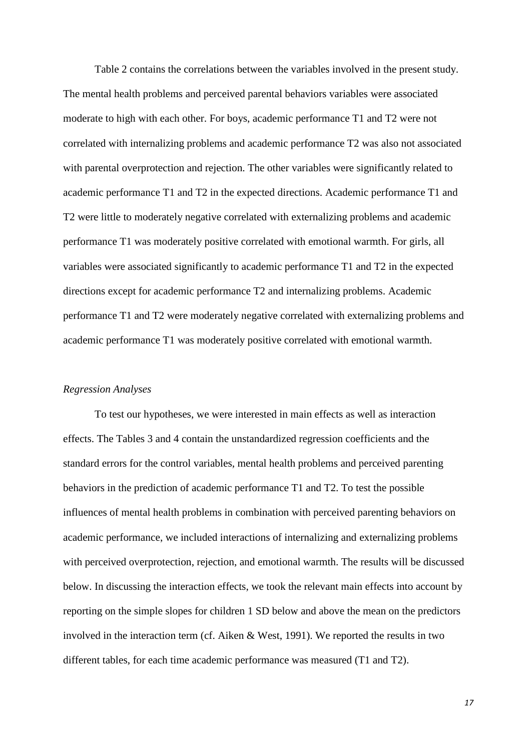Table 2 contains the correlations between the variables involved in the present study. The mental health problems and perceived parental behaviors variables were associated moderate to high with each other. For boys, academic performance T1 and T2 were not correlated with internalizing problems and academic performance T2 was also not associated with parental overprotection and rejection. The other variables were significantly related to academic performance T1 and T2 in the expected directions. Academic performance T1 and T2 were little to moderately negative correlated with externalizing problems and academic performance T1 was moderately positive correlated with emotional warmth. For girls, all variables were associated significantly to academic performance T1 and T2 in the expected directions except for academic performance T2 and internalizing problems. Academic performance T1 and T2 were moderately negative correlated with externalizing problems and academic performance T1 was moderately positive correlated with emotional warmth.

#### *Regression Analyses*

To test our hypotheses, we were interested in main effects as well as interaction effects. The Tables 3 and 4 contain the unstandardized regression coefficients and the standard errors for the control variables, mental health problems and perceived parenting behaviors in the prediction of academic performance T1 and T2. To test the possible influences of mental health problems in combination with perceived parenting behaviors on academic performance, we included interactions of internalizing and externalizing problems with perceived overprotection, rejection, and emotional warmth. The results will be discussed below. In discussing the interaction effects, we took the relevant main effects into account by reporting on the simple slopes for children 1 SD below and above the mean on the predictors involved in the interaction term (cf. Aiken & West, 1991). We reported the results in two different tables, for each time academic performance was measured (T1 and T2).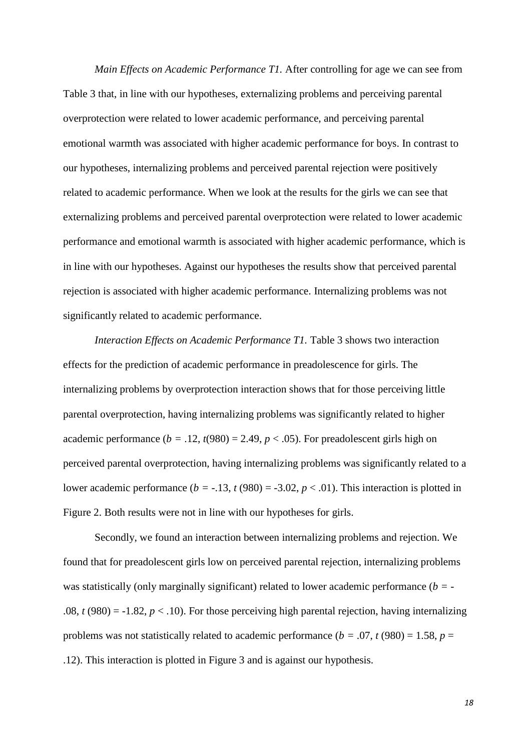*Main Effects on Academic Performance T1.* After controlling for age we can see from Table 3 that, in line with our hypotheses, externalizing problems and perceiving parental overprotection were related to lower academic performance, and perceiving parental emotional warmth was associated with higher academic performance for boys. In contrast to our hypotheses, internalizing problems and perceived parental rejection were positively related to academic performance. When we look at the results for the girls we can see that externalizing problems and perceived parental overprotection were related to lower academic performance and emotional warmth is associated with higher academic performance, which is in line with our hypotheses. Against our hypotheses the results show that perceived parental rejection is associated with higher academic performance. Internalizing problems was not significantly related to academic performance.

*Interaction Effects on Academic Performance T1*. Table 3 shows two interaction effects for the prediction of academic performance in preadolescence for girls. The internalizing problems by overprotection interaction shows that for those perceiving little parental overprotection, having internalizing problems was significantly related to higher academic performance  $(b = .12, t(980) = 2.49, p < .05)$ . For preadolescent girls high on perceived parental overprotection, having internalizing problems was significantly related to a lower academic performance ( $b = -13$ ,  $t(980) = -3.02$ ,  $p < .01$ ). This interaction is plotted in Figure 2. Both results were not in line with our hypotheses for girls.

Secondly, we found an interaction between internalizing problems and rejection. We found that for preadolescent girls low on perceived parental rejection, internalizing problems was statistically (only marginally significant) related to lower academic performance (*b =* - .08,  $t(980) = -1.82$ ,  $p < .10$ ). For those perceiving high parental rejection, having internalizing problems was not statistically related to academic performance ( $b = .07$ ,  $t(980) = 1.58$ ,  $p =$ .12). This interaction is plotted in Figure 3 and is against our hypothesis.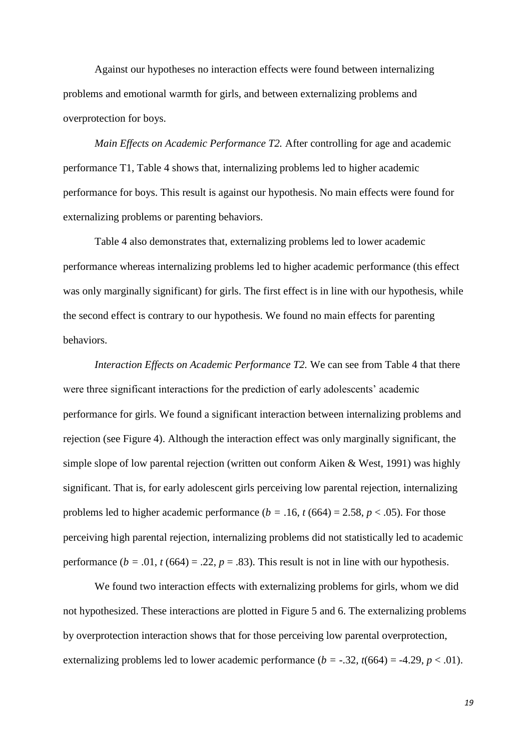Against our hypotheses no interaction effects were found between internalizing problems and emotional warmth for girls, and between externalizing problems and overprotection for boys.

*Main Effects on Academic Performance T2.* After controlling for age and academic performance T1, Table 4 shows that, internalizing problems led to higher academic performance for boys. This result is against our hypothesis. No main effects were found for externalizing problems or parenting behaviors.

Table 4 also demonstrates that, externalizing problems led to lower academic performance whereas internalizing problems led to higher academic performance (this effect was only marginally significant) for girls. The first effect is in line with our hypothesis, while the second effect is contrary to our hypothesis. We found no main effects for parenting behaviors.

*Interaction Effects on Academic Performance T2.* We can see from Table 4 that there were three significant interactions for the prediction of early adolescents' academic performance for girls. We found a significant interaction between internalizing problems and rejection (see Figure 4). Although the interaction effect was only marginally significant, the simple slope of low parental rejection (written out conform Aiken & West, 1991) was highly significant. That is, for early adolescent girls perceiving low parental rejection, internalizing problems led to higher academic performance ( $b = .16$ ,  $t (664) = 2.58$ ,  $p < .05$ ). For those perceiving high parental rejection, internalizing problems did not statistically led to academic performance  $(b = .01, t(664) = .22, p = .83)$ . This result is not in line with our hypothesis.

We found two interaction effects with externalizing problems for girls, whom we did not hypothesized. These interactions are plotted in Figure 5 and 6. The externalizing problems by overprotection interaction shows that for those perceiving low parental overprotection, externalizing problems led to lower academic performance  $(b = -.32, t(664) = -4.29, p < .01)$ .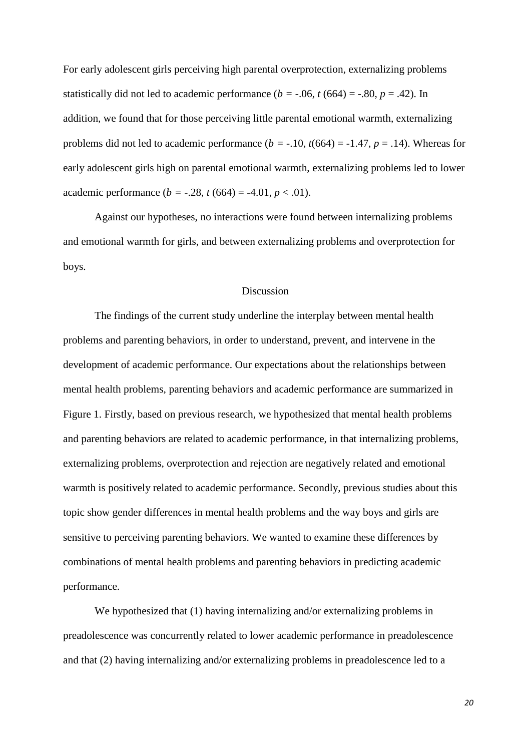For early adolescent girls perceiving high parental overprotection, externalizing problems statistically did not led to academic performance  $(b = -0.06, t(664) = -0.80, p = 0.42)$ . In addition, we found that for those perceiving little parental emotional warmth, externalizing problems did not led to academic performance  $(b = -.10, t(664) = -1.47, p = .14)$ . Whereas for early adolescent girls high on parental emotional warmth, externalizing problems led to lower academic performance  $(b = -.28, t (664) = -4.01, p < .01)$ .

Against our hypotheses, no interactions were found between internalizing problems and emotional warmth for girls, and between externalizing problems and overprotection for boys.

#### Discussion

The findings of the current study underline the interplay between mental health problems and parenting behaviors, in order to understand, prevent, and intervene in the development of academic performance. Our expectations about the relationships between mental health problems, parenting behaviors and academic performance are summarized in Figure 1. Firstly, based on previous research, we hypothesized that mental health problems and parenting behaviors are related to academic performance, in that internalizing problems, externalizing problems, overprotection and rejection are negatively related and emotional warmth is positively related to academic performance. Secondly, previous studies about this topic show gender differences in mental health problems and the way boys and girls are sensitive to perceiving parenting behaviors. We wanted to examine these differences by combinations of mental health problems and parenting behaviors in predicting academic performance.

We hypothesized that (1) having internalizing and/or externalizing problems in preadolescence was concurrently related to lower academic performance in preadolescence and that (2) having internalizing and/or externalizing problems in preadolescence led to a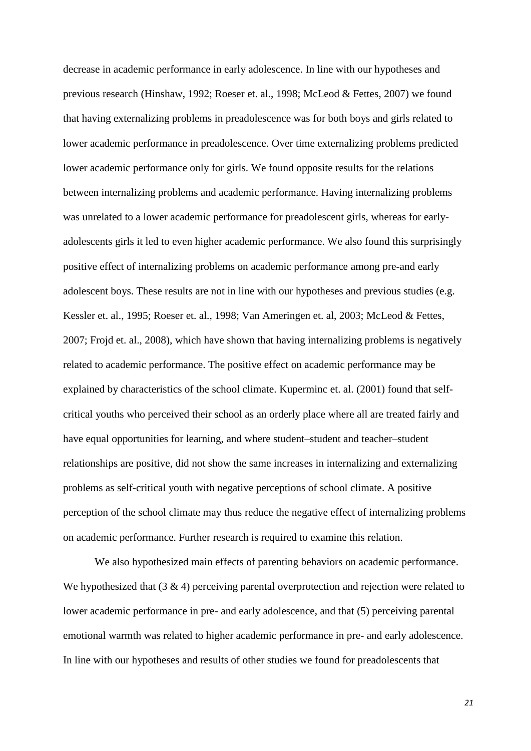decrease in academic performance in early adolescence. In line with our hypotheses and previous research (Hinshaw, 1992; Roeser et. al., 1998; McLeod & Fettes, 2007) we found that having externalizing problems in preadolescence was for both boys and girls related to lower academic performance in preadolescence. Over time externalizing problems predicted lower academic performance only for girls. We found opposite results for the relations between internalizing problems and academic performance. Having internalizing problems was unrelated to a lower academic performance for preadolescent girls, whereas for earlyadolescents girls it led to even higher academic performance. We also found this surprisingly positive effect of internalizing problems on academic performance among pre-and early adolescent boys. These results are not in line with our hypotheses and previous studies (e.g. Kessler et. al., 1995; Roeser et. al., 1998; Van Ameringen et. al, 2003; McLeod & Fettes, 2007; Frojd et. al., 2008), which have shown that having internalizing problems is negatively related to academic performance. The positive effect on academic performance may be explained by characteristics of the school climate. Kuperminc et. al. (2001) found that selfcritical youths who perceived their school as an orderly place where all are treated fairly and have equal opportunities for learning, and where student–student and teacher–student relationships are positive, did not show the same increases in internalizing and externalizing problems as self-critical youth with negative perceptions of school climate. A positive perception of the school climate may thus reduce the negative effect of internalizing problems on academic performance. Further research is required to examine this relation.

We also hypothesized main effects of parenting behaviors on academic performance. We hypothesized that  $(3 \& 4)$  perceiving parental overprotection and rejection were related to lower academic performance in pre- and early adolescence, and that (5) perceiving parental emotional warmth was related to higher academic performance in pre- and early adolescence. In line with our hypotheses and results of other studies we found for preadolescents that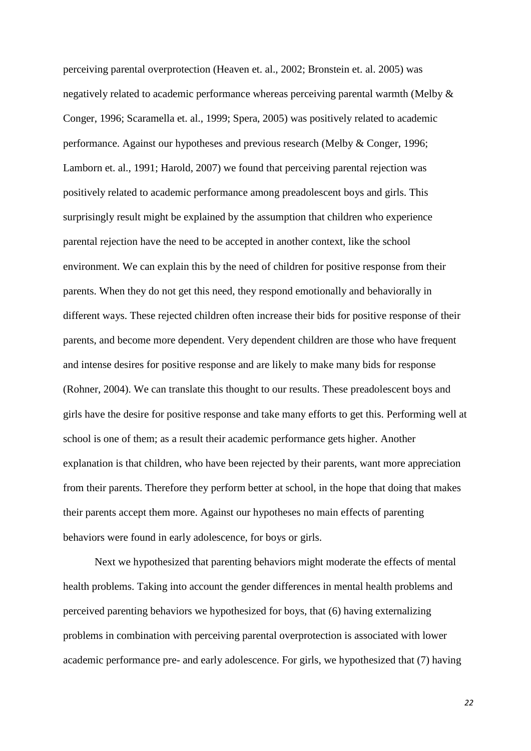perceiving parental overprotection (Heaven et. al., 2002; Bronstein et. al. 2005) was negatively related to academic performance whereas perceiving parental warmth (Melby & Conger, 1996; Scaramella et. al., 1999; Spera, 2005) was positively related to academic performance. Against our hypotheses and previous research (Melby & Conger, 1996; Lamborn et. al., 1991; Harold, 2007) we found that perceiving parental rejection was positively related to academic performance among preadolescent boys and girls. This surprisingly result might be explained by the assumption that children who experience parental rejection have the need to be accepted in another context, like the school environment. We can explain this by the need of children for positive response from their parents. When they do not get this need, they respond emotionally and behaviorally in different ways. These rejected children often increase their bids for positive response of their parents, and become more dependent. Very dependent children are those who have frequent and intense desires for positive response and are likely to make many bids for response (Rohner, 2004). We can translate this thought to our results. These preadolescent boys and girls have the desire for positive response and take many efforts to get this. Performing well at school is one of them; as a result their academic performance gets higher. Another explanation is that children, who have been rejected by their parents, want more appreciation from their parents. Therefore they perform better at school, in the hope that doing that makes their parents accept them more. Against our hypotheses no main effects of parenting behaviors were found in early adolescence, for boys or girls.

Next we hypothesized that parenting behaviors might moderate the effects of mental health problems. Taking into account the gender differences in mental health problems and perceived parenting behaviors we hypothesized for boys, that (6) having externalizing problems in combination with perceiving parental overprotection is associated with lower academic performance pre- and early adolescence. For girls, we hypothesized that (7) having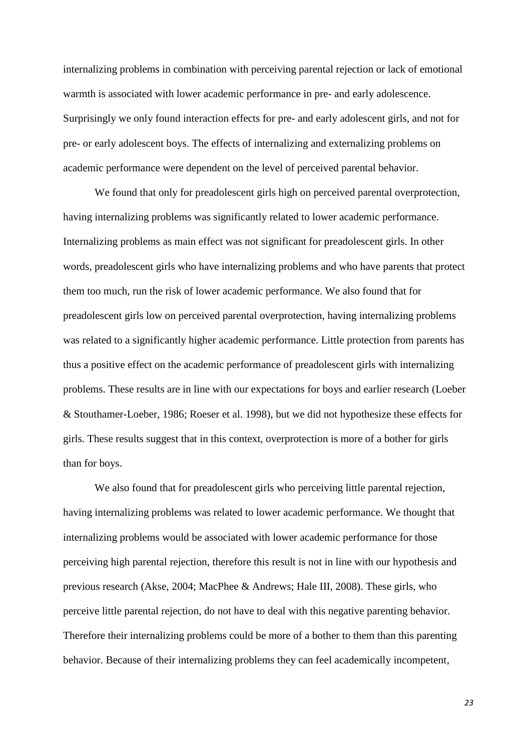internalizing problems in combination with perceiving parental rejection or lack of emotional warmth is associated with lower academic performance in pre- and early adolescence. Surprisingly we only found interaction effects for pre- and early adolescent girls, and not for pre- or early adolescent boys. The effects of internalizing and externalizing problems on academic performance were dependent on the level of perceived parental behavior.

We found that only for preadolescent girls high on perceived parental overprotection, having internalizing problems was significantly related to lower academic performance. Internalizing problems as main effect was not significant for preadolescent girls. In other words, preadolescent girls who have internalizing problems and who have parents that protect them too much, run the risk of lower academic performance. We also found that for preadolescent girls low on perceived parental overprotection, having internalizing problems was related to a significantly higher academic performance. Little protection from parents has thus a positive effect on the academic performance of preadolescent girls with internalizing problems. These results are in line with our expectations for boys and earlier research (Loeber & Stouthamer-Loeber, 1986; Roeser et al. 1998), but we did not hypothesize these effects for girls. These results suggest that in this context, overprotection is more of a bother for girls than for boys.

We also found that for preadolescent girls who perceiving little parental rejection, having internalizing problems was related to lower academic performance. We thought that internalizing problems would be associated with lower academic performance for those perceiving high parental rejection, therefore this result is not in line with our hypothesis and previous research (Akse, 2004; MacPhee & Andrews; Hale III, 2008). These girls, who perceive little parental rejection, do not have to deal with this negative parenting behavior. Therefore their internalizing problems could be more of a bother to them than this parenting behavior. Because of their internalizing problems they can feel academically incompetent,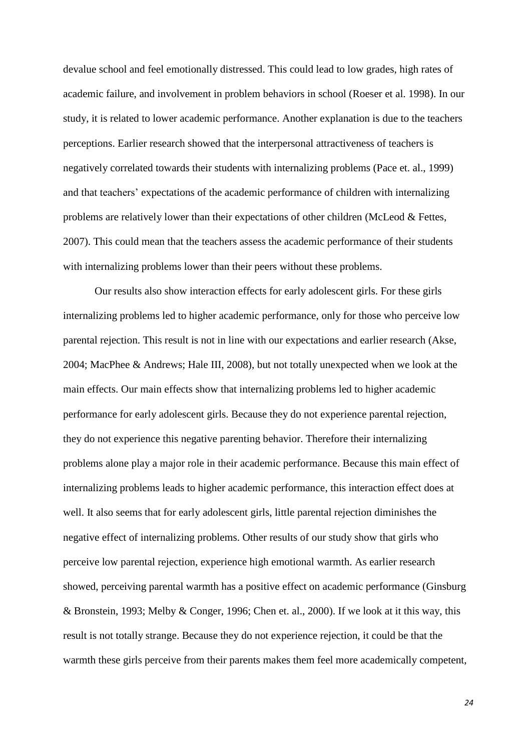devalue school and feel emotionally distressed. This could lead to low grades, high rates of academic failure, and involvement in problem behaviors in school (Roeser et al. 1998). In our study, it is related to lower academic performance. Another explanation is due to the teachers perceptions. Earlier research showed that the interpersonal attractiveness of teachers is negatively correlated towards their students with internalizing problems (Pace et. al., 1999) and that teachers' expectations of the academic performance of children with internalizing problems are relatively lower than their expectations of other children (McLeod & Fettes, 2007). This could mean that the teachers assess the academic performance of their students with internalizing problems lower than their peers without these problems.

Our results also show interaction effects for early adolescent girls. For these girls internalizing problems led to higher academic performance, only for those who perceive low parental rejection. This result is not in line with our expectations and earlier research (Akse, 2004; MacPhee & Andrews; Hale III, 2008), but not totally unexpected when we look at the main effects. Our main effects show that internalizing problems led to higher academic performance for early adolescent girls. Because they do not experience parental rejection, they do not experience this negative parenting behavior. Therefore their internalizing problems alone play a major role in their academic performance. Because this main effect of internalizing problems leads to higher academic performance, this interaction effect does at well. It also seems that for early adolescent girls, little parental rejection diminishes the negative effect of internalizing problems. Other results of our study show that girls who perceive low parental rejection, experience high emotional warmth. As earlier research showed, perceiving parental warmth has a positive effect on academic performance (Ginsburg & Bronstein, 1993; Melby & Conger, 1996; Chen et. al., 2000). If we look at it this way, this result is not totally strange. Because they do not experience rejection, it could be that the warmth these girls perceive from their parents makes them feel more academically competent,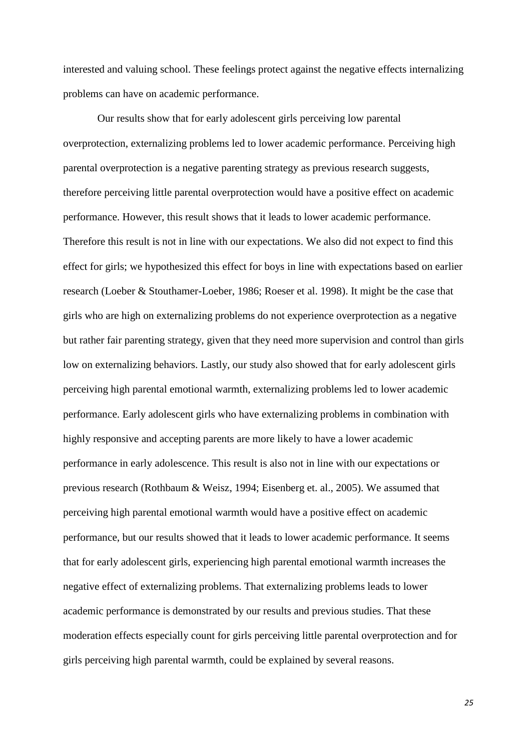interested and valuing school. These feelings protect against the negative effects internalizing problems can have on academic performance.

Our results show that for early adolescent girls perceiving low parental overprotection, externalizing problems led to lower academic performance. Perceiving high parental overprotection is a negative parenting strategy as previous research suggests, therefore perceiving little parental overprotection would have a positive effect on academic performance. However, this result shows that it leads to lower academic performance. Therefore this result is not in line with our expectations. We also did not expect to find this effect for girls; we hypothesized this effect for boys in line with expectations based on earlier research (Loeber & Stouthamer-Loeber, 1986; Roeser et al. 1998). It might be the case that girls who are high on externalizing problems do not experience overprotection as a negative but rather fair parenting strategy, given that they need more supervision and control than girls low on externalizing behaviors. Lastly, our study also showed that for early adolescent girls perceiving high parental emotional warmth, externalizing problems led to lower academic performance. Early adolescent girls who have externalizing problems in combination with highly responsive and accepting parents are more likely to have a lower academic performance in early adolescence. This result is also not in line with our expectations or previous research (Rothbaum & Weisz, 1994; Eisenberg et. al., 2005). We assumed that perceiving high parental emotional warmth would have a positive effect on academic performance, but our results showed that it leads to lower academic performance. It seems that for early adolescent girls, experiencing high parental emotional warmth increases the negative effect of externalizing problems. That externalizing problems leads to lower academic performance is demonstrated by our results and previous studies. That these moderation effects especially count for girls perceiving little parental overprotection and for girls perceiving high parental warmth, could be explained by several reasons.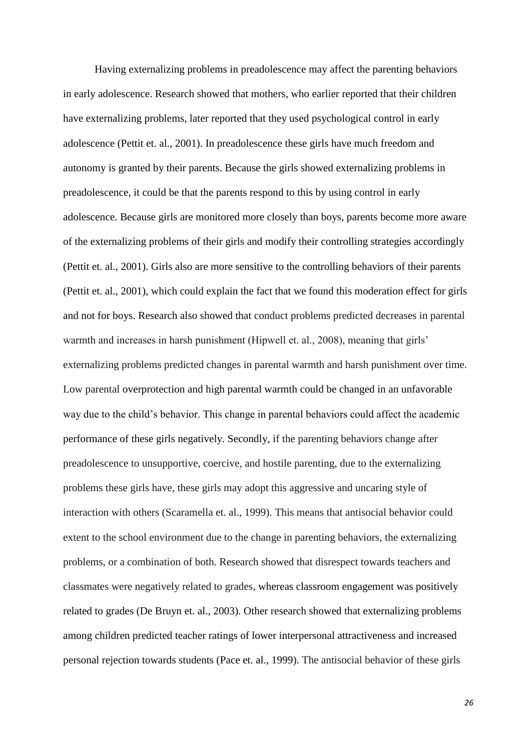Having externalizing problems in preadolescence may affect the parenting behaviors in early adolescence. Research showed that mothers, who earlier reported that their children have externalizing problems, later reported that they used psychological control in early adolescence (Pettit et. al., 2001). In preadolescence these girls have much freedom and autonomy is granted by their parents. Because the girls showed externalizing problems in preadolescence, it could be that the parents respond to this by using control in early adolescence. Because girls are monitored more closely than boys, parents become more aware of the externalizing problems of their girls and modify their controlling strategies accordingly (Pettit et. al., 2001). Girls also are more sensitive to the controlling behaviors of their parents (Pettit et. al., 2001), which could explain the fact that we found this moderation effect for girls and not for boys. Research also showed that conduct problems predicted decreases in parental warmth and increases in harsh punishment (Hipwell et. al., 2008), meaning that girls' externalizing problems predicted changes in parental warmth and harsh punishment over time. Low parental overprotection and high parental warmth could be changed in an unfavorable way due to the child's behavior. This change in parental behaviors could affect the academic performance of these girls negatively. Secondly, if the parenting behaviors change after preadolescence to unsupportive, coercive, and hostile parenting, due to the externalizing problems these girls have, these girls may adopt this aggressive and uncaring style of interaction with others (Scaramella et. al., 1999). This means that antisocial behavior could extent to the school environment due to the change in parenting behaviors, the externalizing problems, or a combination of both. Research showed that disrespect towards teachers and classmates were negatively related to grades, whereas classroom engagement was positively related to grades (De Bruyn et. al., 2003). Other research showed that externalizing problems among children predicted teacher ratings of lower interpersonal attractiveness and increased personal rejection towards students (Pace et. al., 1999). The antisocial behavior of these girls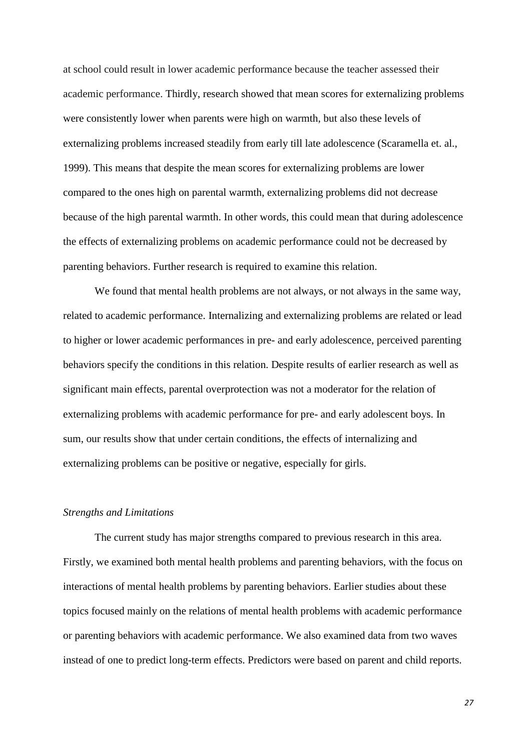at school could result in lower academic performance because the teacher assessed their academic performance. Thirdly, research showed that mean scores for externalizing problems were consistently lower when parents were high on warmth, but also these levels of externalizing problems increased steadily from early till late adolescence (Scaramella et. al., 1999). This means that despite the mean scores for externalizing problems are lower compared to the ones high on parental warmth, externalizing problems did not decrease because of the high parental warmth. In other words, this could mean that during adolescence the effects of externalizing problems on academic performance could not be decreased by parenting behaviors. Further research is required to examine this relation.

We found that mental health problems are not always, or not always in the same way, related to academic performance. Internalizing and externalizing problems are related or lead to higher or lower academic performances in pre- and early adolescence, perceived parenting behaviors specify the conditions in this relation. Despite results of earlier research as well as significant main effects, parental overprotection was not a moderator for the relation of externalizing problems with academic performance for pre- and early adolescent boys. In sum, our results show that under certain conditions, the effects of internalizing and externalizing problems can be positive or negative, especially for girls.

#### *Strengths and Limitations*

The current study has major strengths compared to previous research in this area. Firstly, we examined both mental health problems and parenting behaviors, with the focus on interactions of mental health problems by parenting behaviors. Earlier studies about these topics focused mainly on the relations of mental health problems with academic performance or parenting behaviors with academic performance. We also examined data from two waves instead of one to predict long-term effects. Predictors were based on parent and child reports.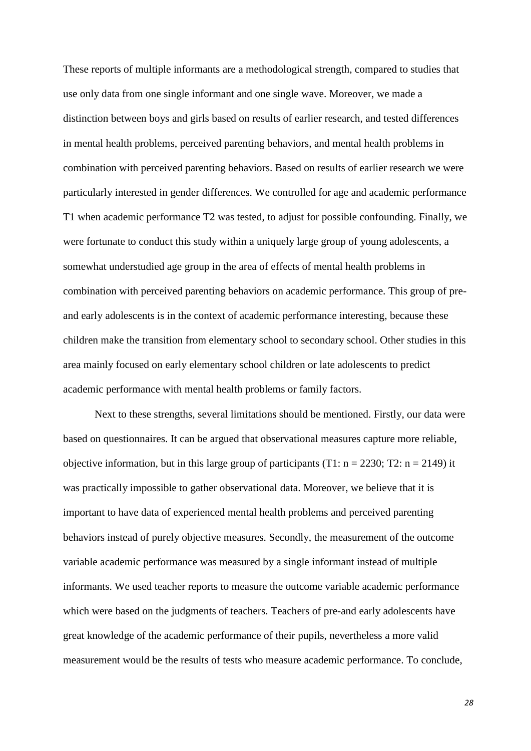These reports of multiple informants are a methodological strength, compared to studies that use only data from one single informant and one single wave. Moreover, we made a distinction between boys and girls based on results of earlier research, and tested differences in mental health problems, perceived parenting behaviors, and mental health problems in combination with perceived parenting behaviors. Based on results of earlier research we were particularly interested in gender differences. We controlled for age and academic performance T1 when academic performance T2 was tested, to adjust for possible confounding. Finally, we were fortunate to conduct this study within a uniquely large group of young adolescents, a somewhat understudied age group in the area of effects of mental health problems in combination with perceived parenting behaviors on academic performance. This group of preand early adolescents is in the context of academic performance interesting, because these children make the transition from elementary school to secondary school. Other studies in this area mainly focused on early elementary school children or late adolescents to predict academic performance with mental health problems or family factors.

Next to these strengths, several limitations should be mentioned. Firstly, our data were based on questionnaires. It can be argued that observational measures capture more reliable, objective information, but in this large group of participants (T1:  $n = 2230$ ; T2:  $n = 2149$ ) it was practically impossible to gather observational data. Moreover, we believe that it is important to have data of experienced mental health problems and perceived parenting behaviors instead of purely objective measures. Secondly, the measurement of the outcome variable academic performance was measured by a single informant instead of multiple informants. We used teacher reports to measure the outcome variable academic performance which were based on the judgments of teachers. Teachers of pre-and early adolescents have great knowledge of the academic performance of their pupils, nevertheless a more valid measurement would be the results of tests who measure academic performance. To conclude,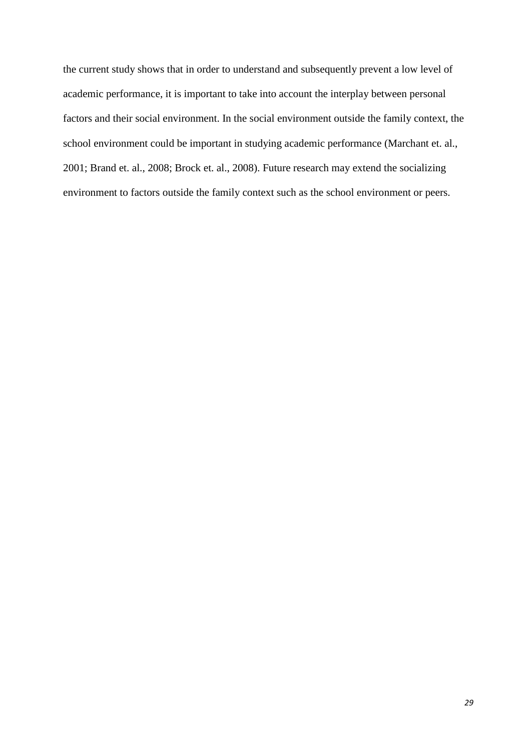the current study shows that in order to understand and subsequently prevent a low level of academic performance, it is important to take into account the interplay between personal factors and their social environment. In the social environment outside the family context, the school environment could be important in studying academic performance (Marchant et. al., 2001; Brand et. al., 2008; Brock et. al., 2008). Future research may extend the socializing environment to factors outside the family context such as the school environment or peers.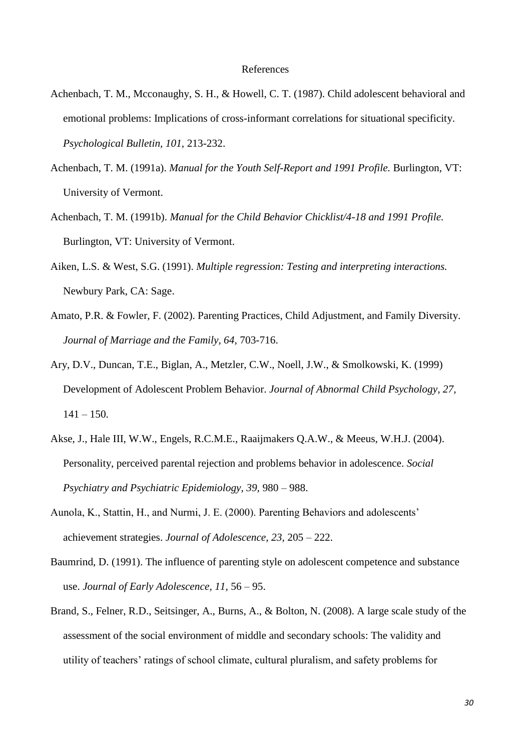- Achenbach, T. M., Mcconaughy, S. H., & Howell, C. T. (1987). Child adolescent behavioral and emotional problems: Implications of cross-informant correlations for situational specificity. *Psychological Bulletin, 101,* 213-232.
- Achenbach, T. M. (1991a). *Manual for the Youth Self-Report and 1991 Profile.* Burlington, VT: University of Vermont.
- Achenbach, T. M. (1991b). *Manual for the Child Behavior Chicklist/4-18 and 1991 Profile.* Burlington, VT: University of Vermont.
- Aiken, L.S. & West, S.G. (1991). *Multiple regression: Testing and interpreting interactions.* Newbury Park, CA: Sage.
- Amato, P.R. & Fowler, F. (2002). Parenting Practices, Child Adjustment, and Family Diversity. *Journal of Marriage and the Family, 64,* 703-716.
- Ary, D.V., Duncan, T.E., Biglan, A., Metzler, C.W., Noell, J.W., & Smolkowski, K. (1999) Development of Adolescent Problem Behavior. *Journal of Abnormal Child Psychology, 27,*   $141 - 150.$
- Akse, J., Hale III, W.W., Engels, R.C.M.E., Raaijmakers Q.A.W., & Meeus, W.H.J. (2004). Personality, perceived parental rejection and problems behavior in adolescence. *Social Psychiatry and Psychiatric Epidemiology, 39,* 980 – 988.
- Aunola, K., Stattin, H., and Nurmi, J. E. (2000). Parenting Behaviors and adolescents' achievement strategies. *Journal of Adolescence, 23,* 205 – 222.
- Baumrind, D. (1991). The influence of parenting style on adolescent competence and substance use. *Journal of Early Adolescence, 11,* 56 – 95.
- Brand, S., Felner, R.D., Seitsinger, A., Burns, A., & Bolton, N. (2008). A large scale study of the assessment of the social environment of middle and secondary schools: The validity and utility of teachers' ratings of school climate, cultural pluralism, and safety problems for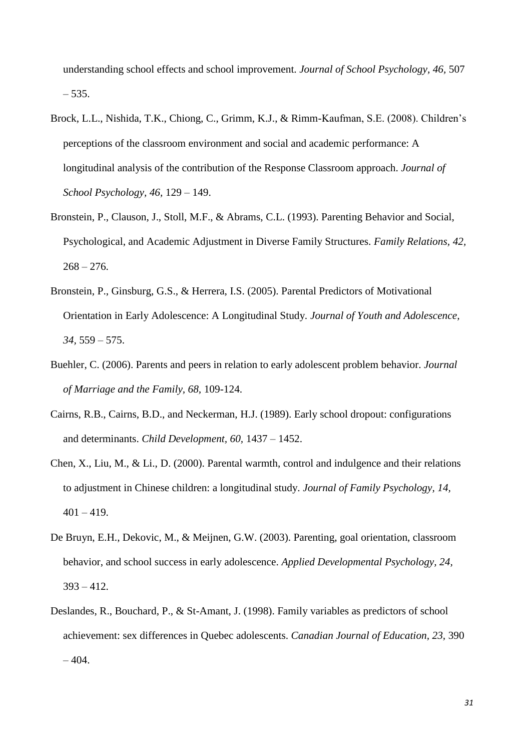understanding school effects and school improvement. *Journal of School Psychology, 46,* 507 – 535.

- Brock, L.L., Nishida, T.K., Chiong, C., Grimm, K.J., & Rimm-Kaufman, S.E. (2008). Children's perceptions of the classroom environment and social and academic performance: A longitudinal analysis of the contribution of the Response Classroom approach. *Journal of School Psychology, 46,* 129 – 149.
- Bronstein, P., Clauson, J., Stoll, M.F., & Abrams, C.L. (1993). Parenting Behavior and Social, Psychological, and Academic Adjustment in Diverse Family Structures. *Family Relations, 42,*   $268 - 276.$
- Bronstein, P., Ginsburg, G.S., & Herrera, I.S. (2005). Parental Predictors of Motivational Orientation in Early Adolescence: A Longitudinal Study. *Journal of Youth and Adolescence, 34,* 559 – 575.
- Buehler, C. (2006). Parents and peers in relation to early adolescent problem behavior. *Journal of Marriage and the Family, 68,* 109-124.
- Cairns, R.B., Cairns, B.D., and Neckerman, H.J. (1989). Early school dropout: configurations and determinants. *Child Development, 60,* 1437 – 1452.
- Chen, X., Liu, M., & Li., D. (2000). Parental warmth, control and indulgence and their relations to adjustment in Chinese children: a longitudinal study. *Journal of Family Psychology, 14,*   $401 - 419$ .
- De Bruyn, E.H., Dekovic, M., & Meijnen, G.W. (2003). Parenting, goal orientation, classroom behavior, and school success in early adolescence. *Applied Developmental Psychology, 24,*  393 – 412.
- Deslandes, R., Bouchard, P., & St-Amant, J. (1998). Family variables as predictors of school achievement: sex differences in Quebec adolescents. *Canadian Journal of Education, 23,* 390  $-404.$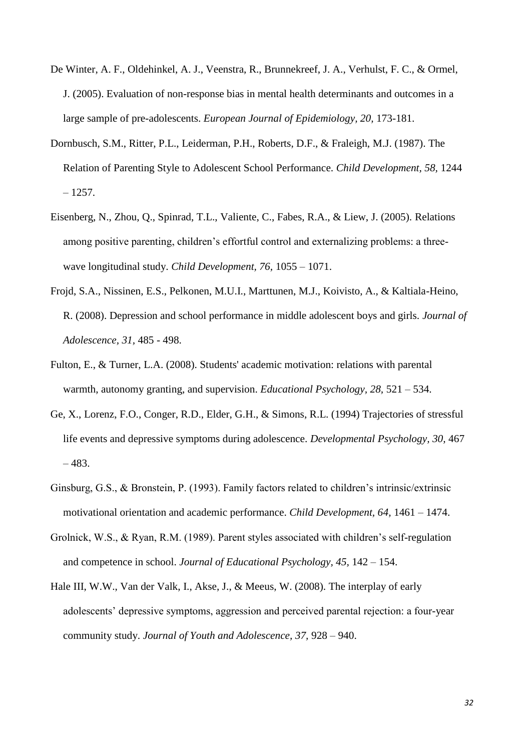- De Winter, A. F., Oldehinkel, A. J., Veenstra, R., Brunnekreef, J. A., Verhulst, F. C., & Ormel, J. (2005). Evaluation of non-response bias in mental health determinants and outcomes in a large sample of pre-adolescents. *European Journal of Epidemiology, 20,* 173-181.
- Dornbusch, S.M., Ritter, P.L., Leiderman, P.H., Roberts, D.F., & Fraleigh, M.J. (1987). The Relation of Parenting Style to Adolescent School Performance. *Child Development, 58,* 1244  $-1257.$
- Eisenberg, N., Zhou, Q., Spinrad, T.L., Valiente, C., Fabes, R.A., & Liew, J. (2005). Relations among positive parenting, children's effortful control and externalizing problems: a threewave longitudinal study. *Child Development, 76,* 1055 – 1071.
- Frojd, S.A., Nissinen, E.S., Pelkonen, M.U.I., Marttunen, M.J., Koivisto, A., & Kaltiala-Heino, R. (2008). Depression and school performance in middle adolescent boys and girls. *Journal of Adolescence, 31,* 485 - 498.
- Fulton, E., & Turner, L.A. (2008). Students' academic motivation: relations with parental warmth, autonomy granting, and supervision. *Educational Psychology, 28,* 521 – 534.
- Ge, X., Lorenz, F.O., Conger, R.D., Elder, G.H., & Simons, R.L. (1994) Trajectories of stressful life events and depressive symptoms during adolescence. *Developmental Psychology, 30,* 467 – 483.
- Ginsburg, G.S., & Bronstein, P. (1993). Family factors related to children's intrinsic/extrinsic motivational orientation and academic performance. *Child Development, 64,* 1461 – 1474.
- Grolnick, W.S., & Ryan, R.M. (1989). Parent styles associated with children's self-regulation and competence in school. *Journal of Educational Psychology, 45,* 142 – 154.
- Hale III, W.W., Van der Valk, I., Akse, J., & Meeus, W. (2008). The interplay of early adolescents' depressive symptoms, aggression and perceived parental rejection: a four-year community study. *Journal of Youth and Adolescence, 37,* 928 – 940.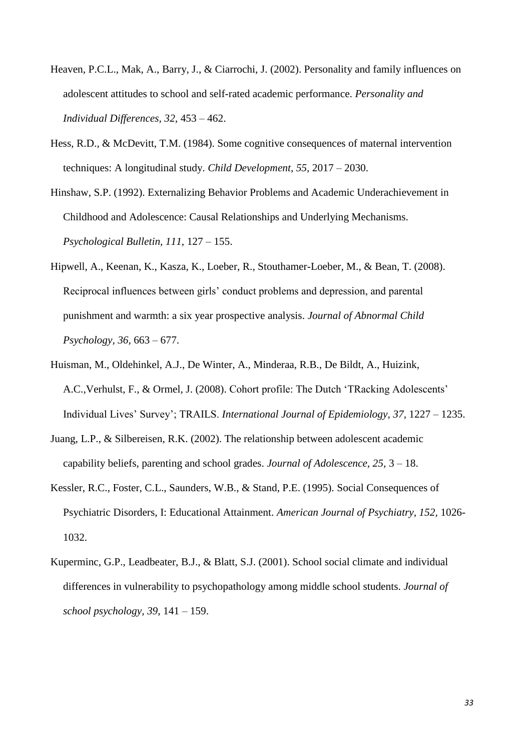- Heaven, P.C.L., Mak, A., Barry, J., & Ciarrochi, J. (2002). Personality and family influences on adolescent attitudes to school and self-rated academic performance. *Personality and Individual Differences, 32,* 453 – 462.
- Hess, R.D., & McDevitt, T.M. (1984). Some cognitive consequences of maternal intervention techniques: A longitudinal study. *Child Development, 55,* 2017 – 2030.
- Hinshaw, S.P. (1992). Externalizing Behavior Problems and Academic Underachievement in Childhood and Adolescence: Causal Relationships and Underlying Mechanisms. *Psychological Bulletin, 111,* 127 – 155.
- Hipwell, A., Keenan, K., Kasza, K., Loeber, R., Stouthamer-Loeber, M., & Bean, T. (2008). Reciprocal influences between girls' conduct problems and depression, and parental punishment and warmth: a six year prospective analysis. *Journal of Abnormal Child Psychology, 36,* 663 – 677.
- Huisman, M., Oldehinkel, A.J., De Winter, A., Minderaa, R.B., De Bildt, A., Huizink, A.C.,Verhulst, F., & Ormel, J. (2008). Cohort profile: The Dutch 'TRacking Adolescents' Individual Lives' Survey'; TRAILS. *International Journal of Epidemiology, 37,* 1227 – 1235.
- Juang, L.P., & Silbereisen, R.K. (2002). The relationship between adolescent academic capability beliefs, parenting and school grades. *Journal of Adolescence, 25,* 3 – 18.
- Kessler, R.C., Foster, C.L., Saunders, W.B., & Stand, P.E. (1995). Social Consequences of Psychiatric Disorders, I: Educational Attainment. *American Journal of Psychiatry, 152,* 1026- 1032.
- Kuperminc, G.P., Leadbeater, B.J., & Blatt, S.J. (2001). School social climate and individual differences in vulnerability to psychopathology among middle school students. *Journal of school psychology, 39*, 141 – 159.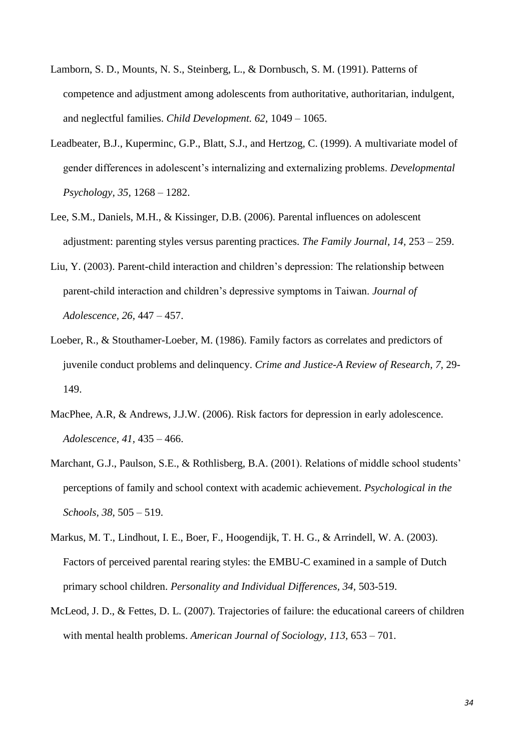- Lamborn, S. D., Mounts, N. S., Steinberg, L., & Dornbusch, S. M. (1991). Patterns of competence and adjustment among adolescents from authoritative, authoritarian, indulgent, and neglectful families. *Child Development. 62,* 1049 – 1065.
- Leadbeater, B.J., Kuperminc, G.P., Blatt, S.J., and Hertzog, C. (1999). A multivariate model of gender differences in adolescent's internalizing and externalizing problems. *Developmental Psychology, 35,* 1268 – 1282.
- Lee, S.M., Daniels, M.H., & Kissinger, D.B. (2006). Parental influences on adolescent adjustment: parenting styles versus parenting practices. *The Family Journal, 14,* 253 – 259.
- Liu, Y. (2003). Parent-child interaction and children's depression: The relationship between parent-child interaction and children's depressive symptoms in Taiwan. *Journal of Adolescence, 26,* 447 – 457.
- Loeber, R., & Stouthamer-Loeber, M. (1986). Family factors as correlates and predictors of juvenile conduct problems and delinquency. *Crime and Justice-A Review of Research, 7,* 29- 149.
- MacPhee, A.R, & Andrews, J.J.W. (2006). Risk factors for depression in early adolescence. *Adolescence, 41,* 435 – 466.
- Marchant, G.J., Paulson, S.E., & Rothlisberg, B.A. (2001). Relations of middle school students' perceptions of family and school context with academic achievement. *Psychological in the Schools, 38,* 505 – 519.
- Markus, M. T., Lindhout, I. E., Boer, F., Hoogendijk, T. H. G., & Arrindell, W. A. (2003). Factors of perceived parental rearing styles: the EMBU-C examined in a sample of Dutch primary school children. *Personality and Individual Differences, 34,* 503-519.
- McLeod, J. D., & Fettes, D. L. (2007). Trajectories of failure: the educational careers of children with mental health problems. *American Journal of Sociology, 113,* 653 – 701.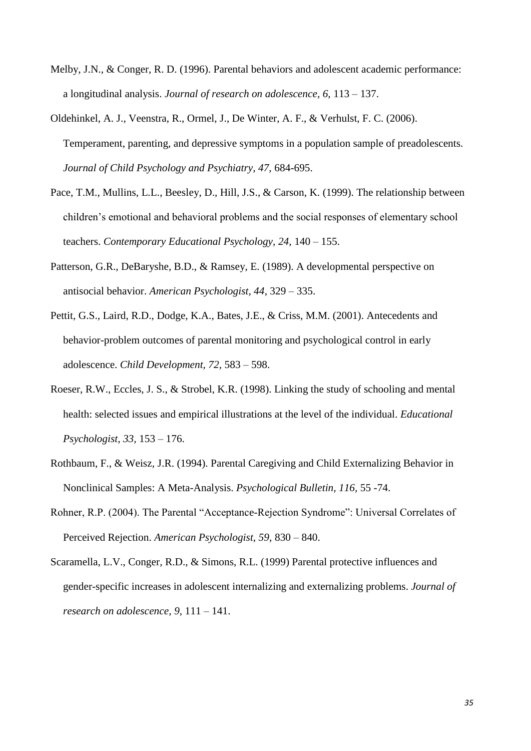- Melby, J.N., & Conger, R. D. (1996). Parental behaviors and adolescent academic performance: a longitudinal analysis. *Journal of research on adolescence, 6,* 113 – 137.
- Oldehinkel, A. J., Veenstra, R., Ormel, J., De Winter, A. F., & Verhulst, F. C. (2006). Temperament, parenting, and depressive symptoms in a population sample of preadolescents. *Journal of Child Psychology and Psychiatry, 47,* 684-695.
- Pace, T.M., Mullins, L.L., Beesley, D., Hill, J.S., & Carson, K. (1999). The relationship between children's emotional and behavioral problems and the social responses of elementary school teachers. *Contemporary Educational Psychology, 24,* 140 – 155.
- Patterson, G.R., DeBaryshe, B.D., & Ramsey, E. (1989). A developmental perspective on antisocial behavior. *American Psychologist, 44*, 329 – 335.
- Pettit, G.S., Laird, R.D., Dodge, K.A., Bates, J.E., & Criss, M.M. (2001). Antecedents and behavior-problem outcomes of parental monitoring and psychological control in early adolescence. *Child Development, 72,* 583 – 598.
- Roeser, R.W., Eccles, J. S., & Strobel, K.R. (1998). Linking the study of schooling and mental health: selected issues and empirical illustrations at the level of the individual. *Educational Psychologist, 33,* 153 – 176.
- Rothbaum, F., & Weisz, J.R. (1994). Parental Caregiving and Child Externalizing Behavior in Nonclinical Samples: A Meta-Analysis. *Psychological Bulletin, 116,* 55 -74.
- Rohner, R.P. (2004). The Parental "Acceptance-Rejection Syndrome": Universal Correlates of Perceived Rejection. *American Psychologist, 59,* 830 – 840.
- Scaramella, L.V., Conger, R.D., & Simons, R.L. (1999) Parental protective influences and gender-specific increases in adolescent internalizing and externalizing problems. *Journal of research on adolescence, 9,* 111 – 141.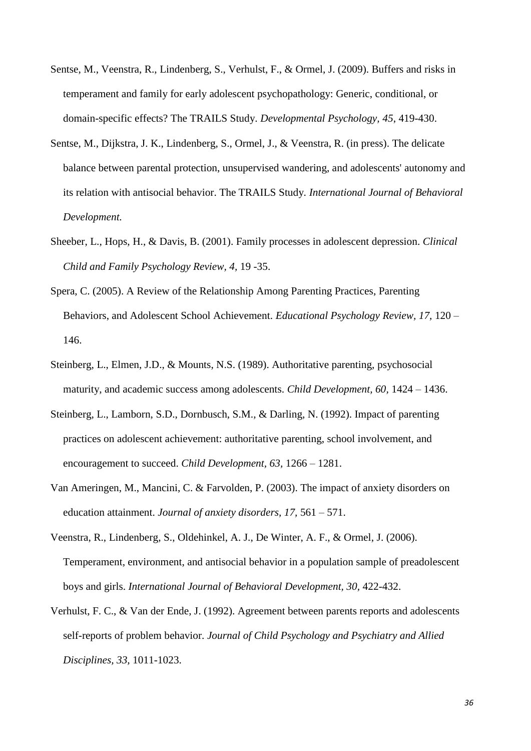- Sentse, M., Veenstra, R., Lindenberg, S., Verhulst, F., & Ormel, J. (2009). Buffers and risks in temperament and family for early adolescent psychopathology: Generic, conditional, or domain-specific effects? The TRAILS Study. *Developmental Psychology, 45*, 419-430.
- Sentse, M., Dijkstra, J. K., Lindenberg, S., Ormel, J., & Veenstra, R. (in press). The delicate balance between parental protection, unsupervised wandering, and adolescents' autonomy and its relation with antisocial behavior. The TRAILS Study. *[International J](http://www.gmw.rug.nl/~sentse/Sentse_IJBD_2009.pdf)ournal of Behavioral Development.*
- Sheeber, L., Hops, H., & Davis, B. (2001). Family processes in adolescent depression. *Clinical Child and Family Psychology Review, 4,* 19 -35.
- Spera, C. (2005). A Review of the Relationship Among Parenting Practices, Parenting Behaviors, and Adolescent School Achievement. *Educational Psychology Review, 17,* 120 – 146.
- Steinberg, L., Elmen, J.D., & Mounts, N.S. (1989). Authoritative parenting, psychosocial maturity, and academic success among adolescents. *Child Development, 60,* 1424 – 1436.
- Steinberg, L., Lamborn, S.D., Dornbusch, S.M., & Darling, N. (1992). Impact of parenting practices on adolescent achievement: authoritative parenting, school involvement, and encouragement to succeed. *Child Development, 63,* 1266 – 1281.
- Van Ameringen, M., Mancini, C. & Farvolden, P. (2003). The impact of anxiety disorders on education attainment. *Journal of anxiety disorders, 17,* 561 – 571.
- Veenstra, R., Lindenberg, S., Oldehinkel, A. J., De Winter, A. F., & Ormel, J. (2006). Temperament, environment, and antisocial behavior in a population sample of preadolescent boys and girls. *International Journal of Behavioral Development, 30,* 422-432.
- Verhulst, F. C., & Van der Ende, J. (1992). Agreement between parents reports and adolescents self-reports of problem behavior. *Journal of Child Psychology and Psychiatry and Allied Disciplines, 33,* 1011-1023.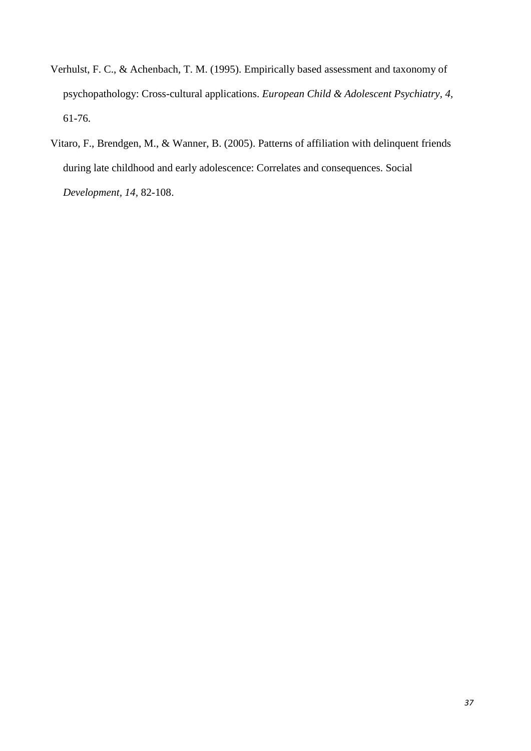- Verhulst, F. C., & Achenbach, T. M. (1995). Empirically based assessment and taxonomy of psychopathology: Cross-cultural applications. *European Child & Adolescent Psychiatry, 4,* 61-76.
- Vitaro, F., Brendgen, M., & Wanner, B. (2005). Patterns of affiliation with delinquent friends during late childhood and early adolescence: Correlates and consequences. Social *Development, 14,* 82-108.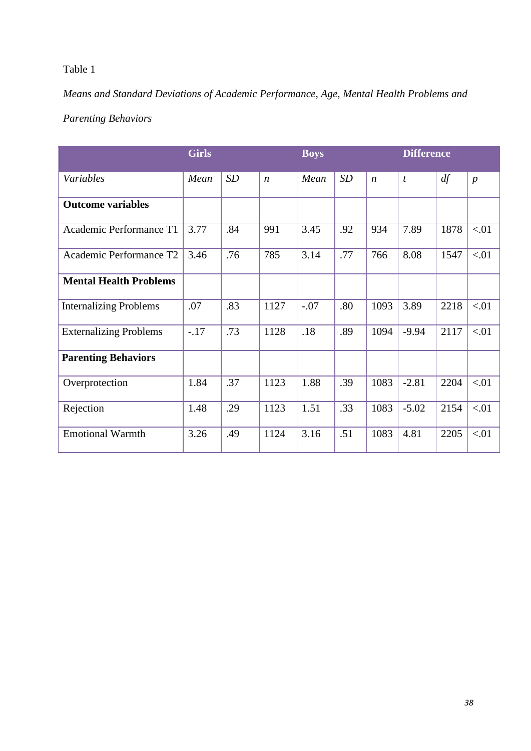# Table 1

# *Means and Standard Deviations of Academic Performance, Age, Mental Health Problems and*

# *Parenting Behaviors*

|                               | <b>Girls</b> |     |                  | <b>Boys</b> |     |                  | <b>Difference</b> |      |                  |
|-------------------------------|--------------|-----|------------------|-------------|-----|------------------|-------------------|------|------------------|
| Variables                     | Mean         | SD  | $\boldsymbol{n}$ | Mean        | SD  | $\boldsymbol{n}$ | t                 | df   | $\boldsymbol{p}$ |
| <b>Outcome variables</b>      |              |     |                  |             |     |                  |                   |      |                  |
| Academic Performance T1       | 3.77         | .84 | 991              | 3.45        | .92 | 934              | 7.89              | 1878 | < 01             |
| Academic Performance T2       | 3.46         | .76 | 785              | 3.14        | .77 | 766              | 8.08              | 1547 | < 01             |
| <b>Mental Health Problems</b> |              |     |                  |             |     |                  |                   |      |                  |
| <b>Internalizing Problems</b> | .07          | .83 | 1127             | $-.07$      | .80 | 1093             | 3.89              | 2218 | < 01             |
| <b>Externalizing Problems</b> | $-17$        | .73 | 1128             | .18         | .89 | 1094             | $-9.94$           | 2117 | < 01             |
| <b>Parenting Behaviors</b>    |              |     |                  |             |     |                  |                   |      |                  |
| Overprotection                | 1.84         | .37 | 1123             | 1.88        | .39 | 1083             | $-2.81$           | 2204 | < 01             |
| Rejection                     | 1.48         | .29 | 1123             | 1.51        | .33 | 1083             | $-5.02$           | 2154 | < 01             |
| <b>Emotional Warmth</b>       | 3.26         | .49 | 1124             | 3.16        | .51 | 1083             | 4.81              | 2205 | < 01             |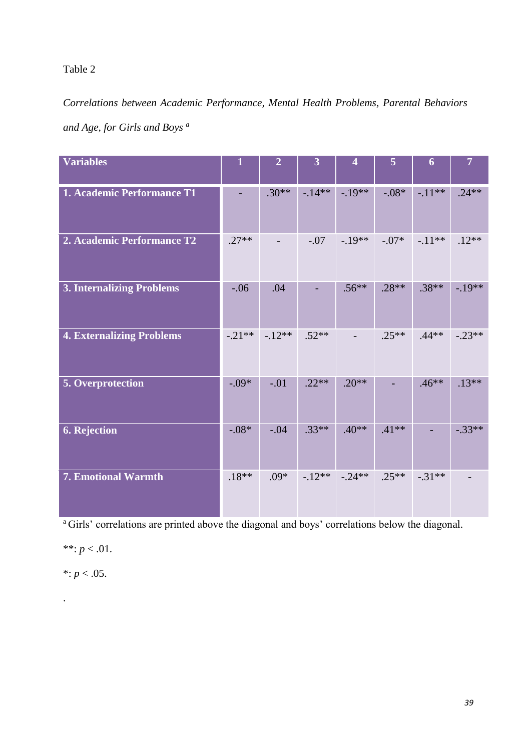## Table 2

*Correlations between Academic Performance, Mental Health Problems, Parental Behaviors and Age, for Girls and Boys <sup>a</sup>*

| <b>Variables</b>                 | 1        | $\overline{2}$ | $\overline{3}$ | $\overline{\mathbf{4}}$ | 5        | 6        | $\overline{7}$ |
|----------------------------------|----------|----------------|----------------|-------------------------|----------|----------|----------------|
| 1. Academic Performance T1       |          | $.30**$        | $-14**$        | $-19**$                 | $-0.08*$ | $-11**$  | $.24**$        |
| 2. Academic Performance T2       | $.27**$  |                | $-.07$         | $-19**$                 | $-.07*$  | $-11**$  | $.12**$        |
| <b>3. Internalizing Problems</b> | $-.06$   | .04            |                | $.56**$                 | $.28**$  | $.38**$  | $-.19**$       |
| <b>4. Externalizing Problems</b> | $-.21**$ | $-12**$        | $.52**$        |                         | $.25**$  | $.44**$  | $-.23**$       |
| 5. Overprotection                | $-.09*$  | $-.01$         | $.22**$        | $.20**$                 |          | $.46**$  | $.13**$        |
| 6. Rejection                     | $-.08*$  | $-.04$         | $.33**$        | $.40**$                 | $.41**$  |          | $-.33**$       |
| 7. Emotional Warmth              | $.18**$  | $.09*$         | $-12**$        | $-.24**$                | $.25**$  | $-.31**$ |                |

<sup>a</sup>Girls' correlations are printed above the diagonal and boys' correlations below the diagonal.

a ka

\*\*:  $p < .01$ .

\*:  $p < .05$ .

.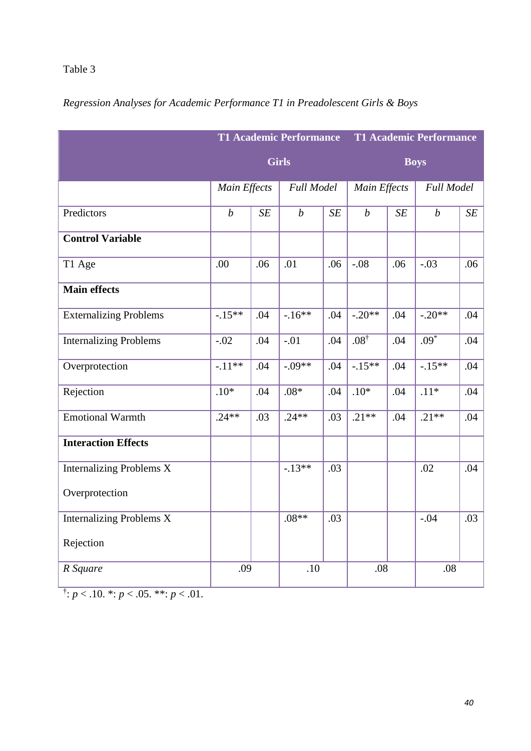# **T1 Academic Performance Girls T1 Academic Performance Boys** *Main Effects Full Model Main Effects Full Model* Predictors  $\begin{array}{c|c|c|c|c|c|c} \hline \end{array}$  *b*  $\begin{array}{c|c|c|c} \hline \end{array}$  *SE b*  $\begin{array}{c|c|c} \hline \end{array}$ *SE b SE* **Control Variable** T1 Age .00 .06 .01 .06 -.08 .06 -.03 .06 **Main effects** Externalizing Problems  $\vert$  -.15<sup>\*\*</sup>  $\vert$  .04  $\vert$  -.16<sup>\*\*</sup>  $\vert$  .04  $\vert$  -.20<sup>\*\*</sup>  $\vert$  .04  $\vert$  -.20<sup>\*\*</sup>  $\vert$  .04 Internalizing Problems -.02 .04 -.01 .04 .08†  $.04 \ 0.09$ <sup>\*</sup> .04 Overprotection -.11<sup>\*\*</sup> .04 -.09<sup>\*\*</sup> .04 -.15<sup>\*\*</sup> .04 -.15<sup>\*\*</sup> .04 Rejection .04 .10\* .04 .08\* .04 .10\* .04 .10\* .04 .11\* .04 Emotional Warmth .24\*\* .03 .24\*\* .03 .21\*\* .04 .21\*\* .04 **Interaction Effects** Internalizing Problems X Overprotection  $-13**$  .03 .02 .04 Internalizing Problems X Rejection  $.08**$   $.03$   $-.04$   $.03$ *R Square* .09 .09 .08 .08 .08

## *Regression Analyses for Academic Performance T1 in Preadolescent Girls & Boys*

 $\ddot{p}$ : *p* < .10. \*: *p* < .05. \*\*: *p* < .01.

Table 3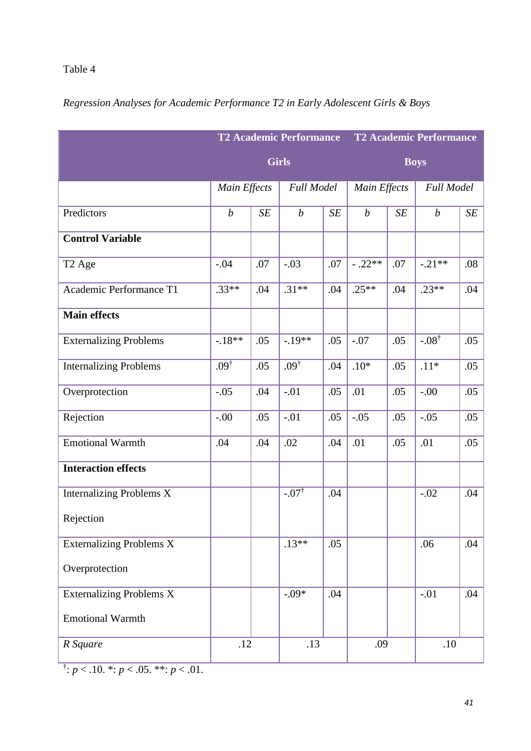# **T2 Academic Performance Girls T2 Academic Performance Boys** *Main Effects Full Model Main Effects Full Model* Predictors  $\begin{array}{c|c|c|c|c|c|c} \hline \end{array}$  *b*  $\begin{array}{c|c|c|c} \hline \end{array}$  *SE b*  $\begin{array}{c|c|c} \hline \end{array}$ *SE b SE* **Control Variable** T2 Age  $-04$   $-07$   $-03$   $07$   $-03$   $07$   $-02$ \*\*  $07$   $-07$   $-02$ \*\*  $08$ Academic Performance T1 .33\*\* .04 .31\*\* .04 .25\*\* .04 .23\*\* .04 **Main effects** Externalizing Problems  $-18**$  .05 -.19\*\* .05 -.07 .05 -.08<sup>†</sup>  $.05$ Internalizing Problems .09†  $.05 \ 0.09^{\dagger}$  $.04$   $.10*$   $.05$   $.11*$   $.05$ Overprotection -.05 .04 -.01 .05 .01 .05 -.00 .05 Rejection  $\vert .00 \vert \, .05 \, \vert .01 \, \vert \, .05 \, \vert .05 \, \vert \, .05 \, \vert \, .05 \, \vert \, .05 \, \vert \, .05 \, \vert \, .05$ Emotional Warmth .04 .04 .02 .04 .01 .05 .01 .05 .05 **Interaction effects** Internalizing Problems X Rejection  $-07^{\dagger}$  $.04$   $-.02$   $.04$ Externalizing Problems X Overprotection  $.13**$  .05 .06 .04 Externalizing Problems X Emotional Warmth  $-0.09*$  04  $0.04$  04 *R Square* .12 .13 .13 .10 .10

### *Regression Analyses for Academic Performance T2 in Early Adolescent Girls & Boys*

Table 4

 $\ddot{p}$ : *p* < .10. \*: *p* < .05. \*\*: *p* < .01.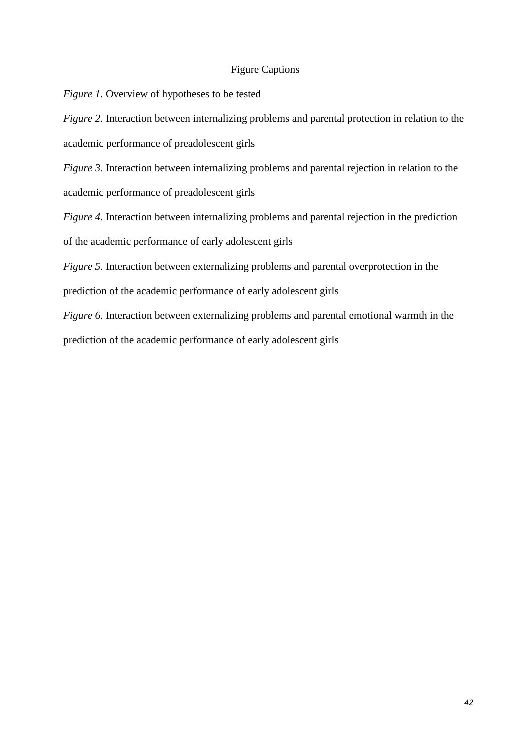#### Figure Captions

*Figure 1.* Overview of hypotheses to be tested

*Figure 2.* Interaction between internalizing problems and parental protection in relation to the academic performance of preadolescent girls

*Figure 3.* Interaction between internalizing problems and parental rejection in relation to the academic performance of preadolescent girls

*Figure 4.* Interaction between internalizing problems and parental rejection in the prediction of the academic performance of early adolescent girls

*Figure 5.* Interaction between externalizing problems and parental overprotection in the prediction of the academic performance of early adolescent girls

*Figure 6.* Interaction between externalizing problems and parental emotional warmth in the prediction of the academic performance of early adolescent girls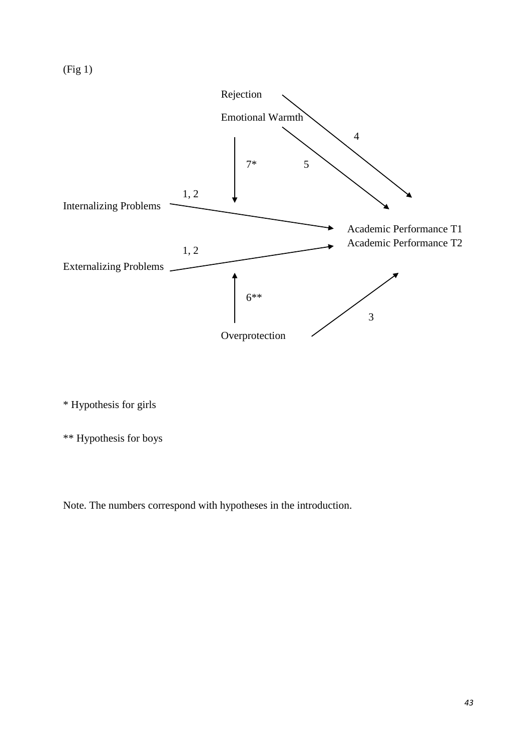

\* Hypothesis for girls

\*\* Hypothesis for boys

Note. The numbers correspond with hypotheses in the introduction.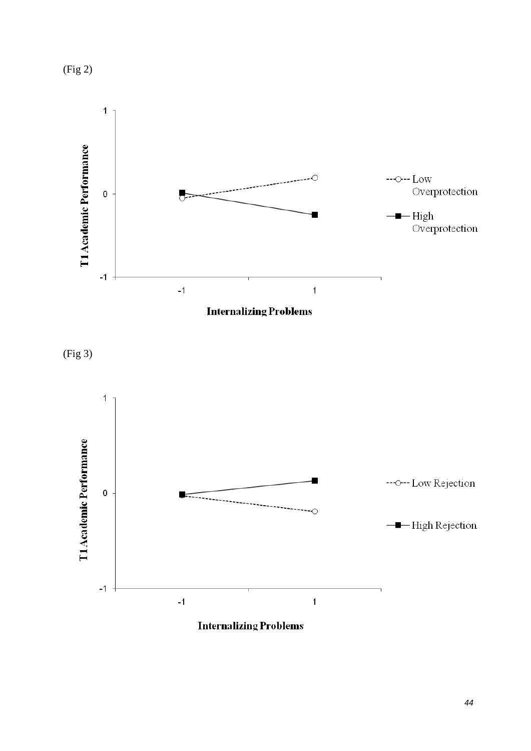(Fig 2)



**Internalizing Problems** 

(Fig 3)



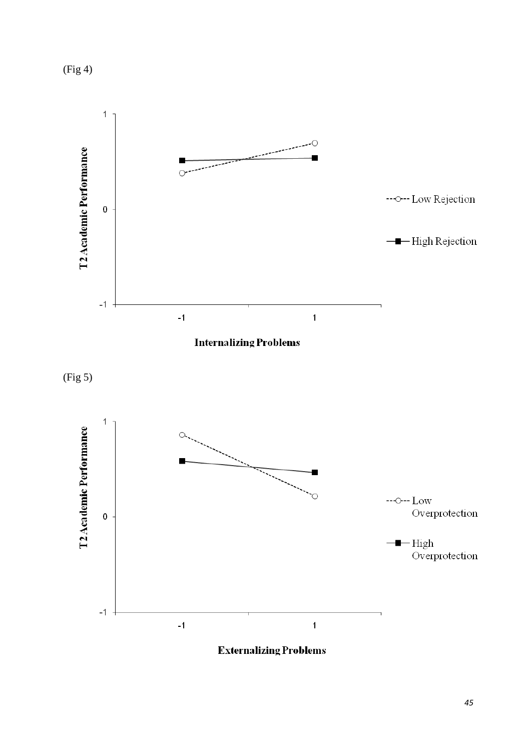(Fig 4)







**Externalizing Problems**